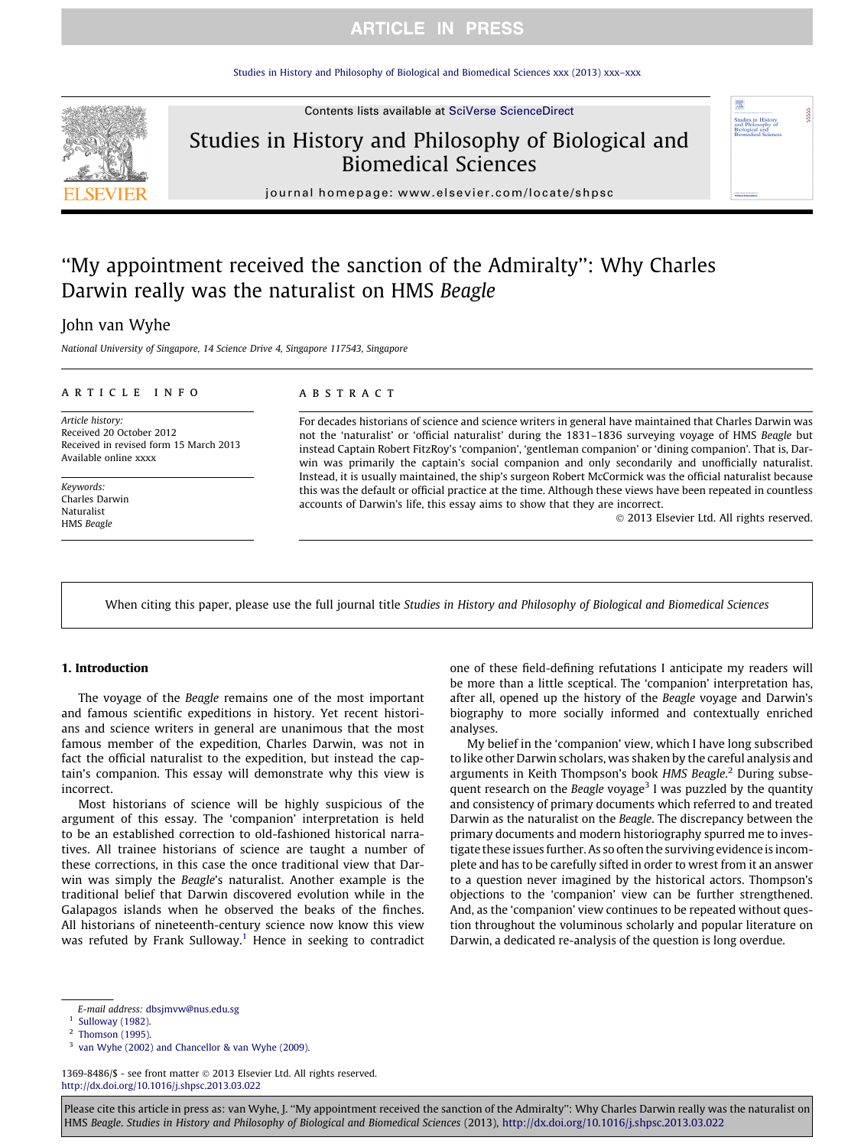## **ARTICLE IN PRESS**

#### [Studies in History and Philosophy of Biological and Biomedical Sciences xxx \(2013\) xxx–xxx](http://dx.doi.org/10.1016/j.shpsc.2013.03.022)



Contents lists available at [SciVerse ScienceDirect](http://www.sciencedirect.com/science/journal/13698486)

# Studies in History and Philosophy of Biological and Biomedical Sciences



journal homepage: [www.elsevier.com/locate/shpsc](http://www.elsevier.com/locate/shpsc)

# ''My appointment received the sanction of the Admiralty'': Why Charles Darwin really was the naturalist on HMS Beagle

### John van Wyhe

National University of Singapore, 14 Science Drive 4, Singapore 117543, Singapore

#### article info

Article history: Received 20 October 2012 Received in revised form 15 March 2013 Available online xxxx

Keywords: Charles Darwin Naturalist HMS Beagle

#### **ABSTRACT**

For decades historians of science and science writers in general have maintained that Charles Darwin was not the 'naturalist' or 'official naturalist' during the 1831–1836 surveying voyage of HMS Beagle but instead Captain Robert FitzRoy's 'companion', 'gentleman companion' or 'dining companion'. That is, Darwin was primarily the captain's social companion and only secondarily and unofficially naturalist. Instead, it is usually maintained, the ship's surgeon Robert McCormick was the official naturalist because this was the default or official practice at the time. Although these views have been repeated in countless accounts of Darwin's life, this essay aims to show that they are incorrect.

- 2013 Elsevier Ltd. All rights reserved.

When citing this paper, please use the full journal title Studies in History and Philosophy of Biological and Biomedical Sciences

#### 1. Introduction

The voyage of the Beagle remains one of the most important and famous scientific expeditions in history. Yet recent historians and science writers in general are unanimous that the most famous member of the expedition, Charles Darwin, was not in fact the official naturalist to the expedition, but instead the captain's companion. This essay will demonstrate why this view is incorrect.

Most historians of science will be highly suspicious of the argument of this essay. The 'companion' interpretation is held to be an established correction to old-fashioned historical narratives. All trainee historians of science are taught a number of these corrections, in this case the once traditional view that Darwin was simply the Beagle's naturalist. Another example is the traditional belief that Darwin discovered evolution while in the Galapagos islands when he observed the beaks of the finches. All historians of nineteenth-century science now know this view was refuted by Frank Sulloway.<sup>1</sup> Hence in seeking to contradict one of these field-defining refutations I anticipate my readers will be more than a little sceptical. The 'companion' interpretation has, after all, opened up the history of the Beagle voyage and Darwin's biography to more socially informed and contextually enriched analyses.

My belief in the 'companion' view, which I have long subscribed to like other Darwin scholars, was shaken by the careful analysis and arguments in Keith Thompson's book HMS Beagle.<sup>2</sup> During subsequent research on the Beagle voyage<sup>3</sup> I was puzzled by the quantity and consistency of primary documents which referred to and treated Darwin as the naturalist on the Beagle. The discrepancy between the primary documents and modern historiography spurred me to investigate these issues further. As so often the surviving evidence is incomplete and has to be carefully sifted in order to wrest from it an answer to a question never imagined by the historical actors. Thompson's objections to the 'companion' view can be further strengthened. And, as the 'companion' view continues to be repeated without question throughout the voluminous scholarly and popular literature on Darwin, a dedicated re-analysis of the question is long overdue.

1369-8486/\$ - see front matter @ 2013 Elsevier Ltd. All rights reserved. <http://dx.doi.org/10.1016/j.shpsc.2013.03.022>

E-mail address: [dbsjmvw@nus.edu.sg](mailto:dbsjmvw@nus.edu.sg)

[Sulloway \(1982\)](#page-9-0).

 $2$  [Thomson \(1995\)](#page-10-0).

<sup>3</sup> [van Wyhe \(2002\) and Chancellor & van Wyhe \(2009\).](#page-10-0)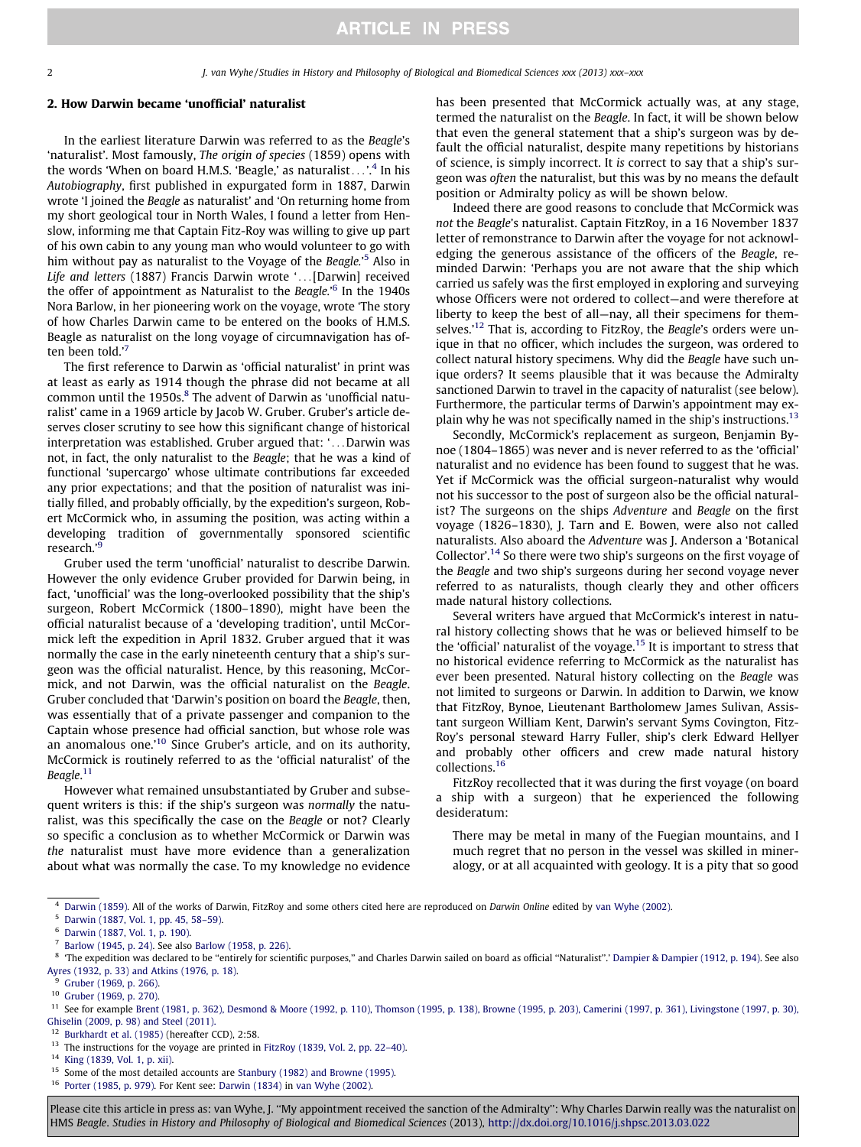#### 2. How Darwin became 'unofficial' naturalist

In the earliest literature Darwin was referred to as the Beagle's 'naturalist'. Most famously, The origin of species (1859) opens with the words 'When on board H.M.S. 'Beagle,' as naturalist...'.<sup>4</sup> In his Autobiography, first published in expurgated form in 1887, Darwin wrote 'I joined the Beagle as naturalist' and 'On returning home from my short geological tour in North Wales, I found a letter from Henslow, informing me that Captain Fitz-Roy was willing to give up part of his own cabin to any young man who would volunteer to go with him without pay as naturalist to the Voyage of the Beagle.'<sup>5</sup> Also in Life and letters (1887) Francis Darwin wrote '...[Darwin] received the offer of appointment as Naturalist to the Beagle.'<sup>6</sup> In the 1940s Nora Barlow, in her pioneering work on the voyage, wrote 'The story of how Charles Darwin came to be entered on the books of H.M.S. Beagle as naturalist on the long voyage of circumnavigation has often been told.'7

The first reference to Darwin as 'official naturalist' in print was at least as early as 1914 though the phrase did not became at all common until the 1950s.<sup>8</sup> The advent of Darwin as 'unofficial naturalist' came in a 1969 article by Jacob W. Gruber. Gruber's article deserves closer scrutiny to see how this significant change of historical interpretation was established. Gruber argued that: '...Darwin was not, in fact, the only naturalist to the Beagle; that he was a kind of functional 'supercargo' whose ultimate contributions far exceeded any prior expectations; and that the position of naturalist was initially filled, and probably officially, by the expedition's surgeon, Robert McCormick who, in assuming the position, was acting within a developing tradition of governmentally sponsored scientific research.'<sup>9</sup>

Gruber used the term 'unofficial' naturalist to describe Darwin. However the only evidence Gruber provided for Darwin being, in fact, 'unofficial' was the long-overlooked possibility that the ship's surgeon, Robert McCormick (1800–1890), might have been the official naturalist because of a 'developing tradition', until McCormick left the expedition in April 1832. Gruber argued that it was normally the case in the early nineteenth century that a ship's surgeon was the official naturalist. Hence, by this reasoning, McCormick, and not Darwin, was the official naturalist on the Beagle. Gruber concluded that 'Darwin's position on board the Beagle, then, was essentially that of a private passenger and companion to the Captain whose presence had official sanction, but whose role was an anomalous one.<sup>10</sup> Since Gruber's article, and on its authority, McCormick is routinely referred to as the 'official naturalist' of the Beagle.<sup>11</sup>

However what remained unsubstantiated by Gruber and subsequent writers is this: if the ship's surgeon was normally the naturalist, was this specifically the case on the Beagle or not? Clearly so specific a conclusion as to whether McCormick or Darwin was the naturalist must have more evidence than a generalization about what was normally the case. To my knowledge no evidence has been presented that McCormick actually was, at any stage, termed the naturalist on the Beagle. In fact, it will be shown below that even the general statement that a ship's surgeon was by default the official naturalist, despite many repetitions by historians of science, is simply incorrect. It is correct to say that a ship's surgeon was often the naturalist, but this was by no means the default position or Admiralty policy as will be shown below.

Indeed there are good reasons to conclude that McCormick was not the Beagle's naturalist. Captain FitzRoy, in a 16 November 1837 letter of remonstrance to Darwin after the voyage for not acknowledging the generous assistance of the officers of the Beagle, reminded Darwin: 'Perhaps you are not aware that the ship which carried us safely was the first employed in exploring and surveying whose Officers were not ordered to collect—and were therefore at liberty to keep the best of all—nay, all their specimens for themselves.<sup>12</sup> That is, according to FitzRoy, the *Beagle's* orders were unique in that no officer, which includes the surgeon, was ordered to collect natural history specimens. Why did the Beagle have such unique orders? It seems plausible that it was because the Admiralty sanctioned Darwin to travel in the capacity of naturalist (see below). Furthermore, the particular terms of Darwin's appointment may explain why he was not specifically named in the ship's instructions.<sup>13</sup>

Secondly, McCormick's replacement as surgeon, Benjamin Bynoe (1804–1865) was never and is never referred to as the 'official' naturalist and no evidence has been found to suggest that he was. Yet if McCormick was the official surgeon-naturalist why would not his successor to the post of surgeon also be the official naturalist? The surgeons on the ships Adventure and Beagle on the first voyage (1826–1830), J. Tarn and E. Bowen, were also not called naturalists. Also aboard the Adventure was J. Anderson a 'Botanical Collector'.<sup>14</sup> So there were two ship's surgeons on the first voyage of the Beagle and two ship's surgeons during her second voyage never referred to as naturalists, though clearly they and other officers made natural history collections.

Several writers have argued that McCormick's interest in natural history collecting shows that he was or believed himself to be the 'official' naturalist of the voyage.<sup>15</sup> It is important to stress that no historical evidence referring to McCormick as the naturalist has ever been presented. Natural history collecting on the Beagle was not limited to surgeons or Darwin. In addition to Darwin, we know that FitzRoy, Bynoe, Lieutenant Bartholomew James Sulivan, Assistant surgeon William Kent, Darwin's servant Syms Covington, Fitz-Roy's personal steward Harry Fuller, ship's clerk Edward Hellyer and probably other officers and crew made natural history collections.16

FitzRoy recollected that it was during the first voyage (on board a ship with a surgeon) that he experienced the following desideratum:

There may be metal in many of the Fuegian mountains, and I much regret that no person in the vessel was skilled in mineralogy, or at all acquainted with geology. It is a pity that so good

<sup>&</sup>lt;sup>4</sup> [Darwin \(1859\)](#page-9-0). All of the works of Darwin, FitzRoy and some others cited here are reproduced on Darwin Online edited by [van Wyhe \(2002\).](#page-10-0)

<sup>5</sup> [Darwin \(1887, Vol. 1, pp. 45, 58–59\)](#page-9-0).

<sup>6</sup> [Darwin \(1887, Vol. 1, p. 190\).](#page-9-0)

[Barlow \(1945, p. 24\).](#page-9-0) See also [Barlow \(1958, p. 226\).](#page-9-0)

<sup>&</sup>lt;sup>8</sup> The expedition was declared to be "entirely for scientific purposes," and Charles Darwin sailed on board as official "Naturalist".' [Dampier & Dampier \(1912, p. 194\).](#page-9-0) See also [Ayres \(1932, p. 33\) and Atkins \(1976, p. 18\).](#page-9-0)

<sup>&</sup>lt;sup>9</sup> [Gruber \(1969, p. 266\)](#page-9-0).

<sup>10</sup> [Gruber \(1969, p. 270\)](#page-9-0).

<sup>11</sup> See for example [Brent \(1981, p. 362\), Desmond & Moore \(1992, p. 110\), Thomson \(1995, p. 138\), Browne \(1995, p. 203\), Camerini \(1997, p. 361\), Livingstone \(1997, p. 30\),](#page-9-0) [Ghiselin \(2009, p. 98\) and Steel \(2011\).](#page-9-0)

<sup>&</sup>lt;sup>12</sup> [Burkhardt et al. \(1985\)](#page-9-0) (hereafter CCD), 2:58.

<sup>&</sup>lt;sup>13</sup> The instructions for the voyage are printed in FitzRoy (1839, Vol. 2, pp. 22-40).

<sup>14</sup> [King \(1839, Vol. 1, p. xii\).](#page-9-0)

<sup>&</sup>lt;sup>15</sup> Some of the most detailed accounts are [Stanbury \(1982\) and Browne \(1995\).](#page-9-0)

<sup>16</sup> [Porter \(1985, p. 979\).](#page-9-0) For Kent see: [Darwin \(1834\)](#page-9-0) in [van Wyhe \(2002\).](#page-10-0)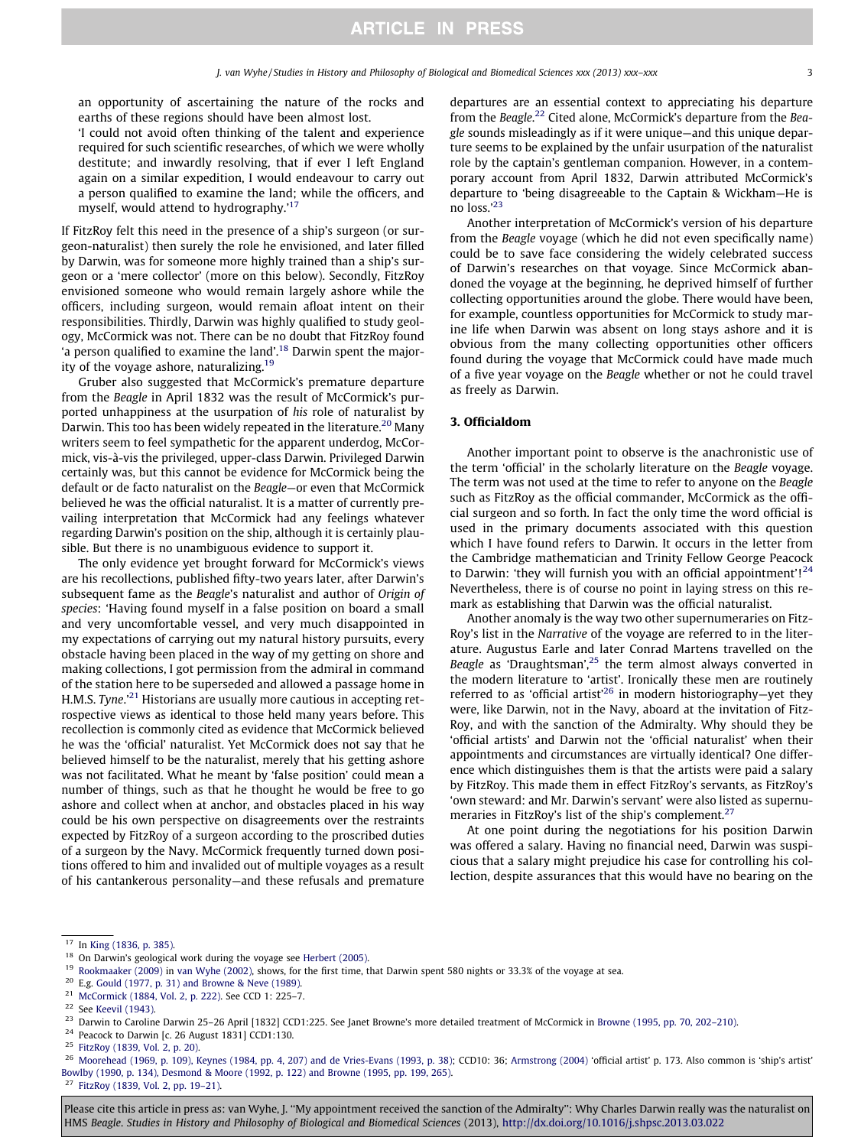an opportunity of ascertaining the nature of the rocks and earths of these regions should have been almost lost.

'I could not avoid often thinking of the talent and experience required for such scientific researches, of which we were wholly destitute; and inwardly resolving, that if ever I left England again on a similar expedition, I would endeavour to carry out a person qualified to examine the land; while the officers, and myself, would attend to hydrography.'<sup>17</sup>

If FitzRoy felt this need in the presence of a ship's surgeon (or surgeon-naturalist) then surely the role he envisioned, and later filled by Darwin, was for someone more highly trained than a ship's surgeon or a 'mere collector' (more on this below). Secondly, FitzRoy envisioned someone who would remain largely ashore while the officers, including surgeon, would remain afloat intent on their responsibilities. Thirdly, Darwin was highly qualified to study geology, McCormick was not. There can be no doubt that FitzRoy found 'a person qualified to examine the land'.<sup>18</sup> Darwin spent the majority of the voyage ashore, naturalizing.19

Gruber also suggested that McCormick's premature departure from the Beagle in April 1832 was the result of McCormick's purported unhappiness at the usurpation of his role of naturalist by Darwin. This too has been widely repeated in the literature.<sup>20</sup> Many writers seem to feel sympathetic for the apparent underdog, McCormick, vis-à-vis the privileged, upper-class Darwin. Privileged Darwin certainly was, but this cannot be evidence for McCormick being the default or de facto naturalist on the Beagle—or even that McCormick believed he was the official naturalist. It is a matter of currently prevailing interpretation that McCormick had any feelings whatever regarding Darwin's position on the ship, although it is certainly plausible. But there is no unambiguous evidence to support it.

The only evidence yet brought forward for McCormick's views are his recollections, published fifty-two years later, after Darwin's subsequent fame as the Beagle's naturalist and author of Origin of species: 'Having found myself in a false position on board a small and very uncomfortable vessel, and very much disappointed in my expectations of carrying out my natural history pursuits, every obstacle having been placed in the way of my getting on shore and making collections, I got permission from the admiral in command of the station here to be superseded and allowed a passage home in H.M.S. Tyne.<sup>'21</sup> Historians are usually more cautious in accepting retrospective views as identical to those held many years before. This recollection is commonly cited as evidence that McCormick believed he was the 'official' naturalist. Yet McCormick does not say that he believed himself to be the naturalist, merely that his getting ashore was not facilitated. What he meant by 'false position' could mean a number of things, such as that he thought he would be free to go ashore and collect when at anchor, and obstacles placed in his way could be his own perspective on disagreements over the restraints expected by FitzRoy of a surgeon according to the proscribed duties of a surgeon by the Navy. McCormick frequently turned down positions offered to him and invalided out of multiple voyages as a result of his cantankerous personality—and these refusals and premature

departures are an essential context to appreciating his departure from the Beagle.<sup>22</sup> Cited alone, McCormick's departure from the Beagle sounds misleadingly as if it were unique—and this unique departure seems to be explained by the unfair usurpation of the naturalist role by the captain's gentleman companion. However, in a contemporary account from April 1832, Darwin attributed McCormick's departure to 'being disagreeable to the Captain & Wickham—He is no loss.'<sup>23</sup>

Another interpretation of McCormick's version of his departure from the Beagle voyage (which he did not even specifically name) could be to save face considering the widely celebrated success of Darwin's researches on that voyage. Since McCormick abandoned the voyage at the beginning, he deprived himself of further collecting opportunities around the globe. There would have been, for example, countless opportunities for McCormick to study marine life when Darwin was absent on long stays ashore and it is obvious from the many collecting opportunities other officers found during the voyage that McCormick could have made much of a five year voyage on the Beagle whether or not he could travel as freely as Darwin.

### 3. Officialdom

Another important point to observe is the anachronistic use of the term 'official' in the scholarly literature on the Beagle voyage. The term was not used at the time to refer to anyone on the Beagle such as FitzRoy as the official commander, McCormick as the official surgeon and so forth. In fact the only time the word official is used in the primary documents associated with this question which I have found refers to Darwin. It occurs in the letter from the Cambridge mathematician and Trinity Fellow George Peacock to Darwin: 'they will furnish you with an official appointment'!<sup>24</sup> Nevertheless, there is of course no point in laying stress on this remark as establishing that Darwin was the official naturalist.

Another anomaly is the way two other supernumeraries on Fitz-Roy's list in the Narrative of the voyage are referred to in the literature. Augustus Earle and later Conrad Martens travelled on the Beagle as 'Draughtsman', $25$  the term almost always converted in the modern literature to 'artist'. Ironically these men are routinely referred to as 'official artist<sup>26</sup> in modern historiography-yet they were, like Darwin, not in the Navy, aboard at the invitation of Fitz-Roy, and with the sanction of the Admiralty. Why should they be 'official artists' and Darwin not the 'official naturalist' when their appointments and circumstances are virtually identical? One difference which distinguishes them is that the artists were paid a salary by FitzRoy. This made them in effect FitzRoy's servants, as FitzRoy's 'own steward: and Mr. Darwin's servant' were also listed as supernumeraries in FitzRoy's list of the ship's complement.<sup>27</sup>

At one point during the negotiations for his position Darwin was offered a salary. Having no financial need, Darwin was suspicious that a salary might prejudice his case for controlling his collection, despite assurances that this would have no bearing on the

<sup>17</sup> In [King \(1836, p. 385\).](#page-9-0)

On Darwin's geological work during the voyage see [Herbert \(2005\)](#page-9-0).

<sup>&</sup>lt;sup>19</sup> [Rookmaaker \(2009\)](#page-9-0) in [van Wyhe \(2002\)](#page-10-0), shows, for the first time, that Darwin spent 580 nights or 33.3% of the voyage at sea.<br><sup>20</sup> E s. Could (1077 p. 31) and Browne 8, Nove (1080)

E.g. [Gould \(1977, p. 31\) and Browne & Neve \(1989\).](#page-9-0)

<sup>21</sup> [McCormick \(1884, Vol. 2, p. 222\).](#page-9-0) See CCD 1: 225–7.

<sup>22</sup> See [Keevil \(1943\)](#page-9-0).

<sup>&</sup>lt;sup>23</sup> Darwin to Caroline Darwin 25–26 April [1832] CCD1:225. See Janet Browne's more detailed treatment of McCormick in [Browne \(1995, pp. 70, 202–210\).](#page-9-0)<br><sup>24</sup> Boasesk to Darwin Je. 26 August 1831] CCD1:120.

<sup>&</sup>lt;sup>24</sup> Peacock to Darwin [c. 26 August 1831] CCD1:130.<br><sup>25</sup> FitzPov (1830, Vol. 2, p. 20)

<sup>25</sup> [FitzRoy \(1839, Vol. 2, p. 20\)](#page-9-0).

 $^{26}$  [Moorehead \(1969, p. 109\), Keynes \(1984, pp. 4, 207\) and de Vries-Evans \(1993, p. 38\);](#page-9-0) CCD10: 36; [Armstrong \(2004\)](#page-9-0) 'official artist' p. 173. Also common is 'ship's artist' [Bowlby \(1990, p. 134\), Desmond & Moore \(1992, p. 122\) and Browne \(1995, pp. 199, 265\).](#page-9-0) [FitzRoy \(1839, Vol. 2, pp. 19–21\)](#page-9-0).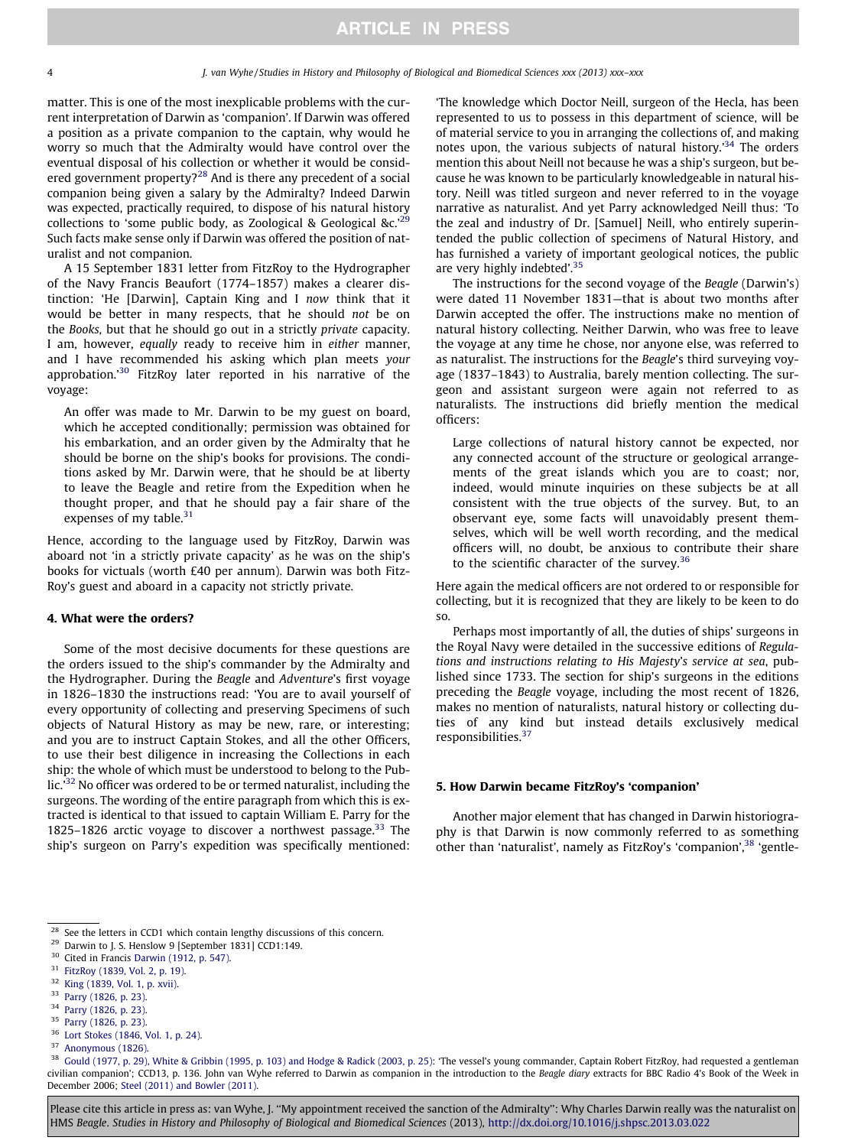## **ARTICLE IN PRESS**

matter. This is one of the most inexplicable problems with the current interpretation of Darwin as 'companion'. If Darwin was offered a position as a private companion to the captain, why would he worry so much that the Admiralty would have control over the eventual disposal of his collection or whether it would be considered government property?<sup>28</sup> And is there any precedent of a social companion being given a salary by the Admiralty? Indeed Darwin was expected, practically required, to dispose of his natural history collections to 'some public body, as Zoological & Geological &c.'29 Such facts make sense only if Darwin was offered the position of naturalist and not companion.

A 15 September 1831 letter from FitzRoy to the Hydrographer of the Navy Francis Beaufort (1774–1857) makes a clearer distinction: 'He [Darwin], Captain King and I now think that it would be better in many respects, that he should not be on the Books, but that he should go out in a strictly private capacity. I am, however, equally ready to receive him in either manner, and I have recommended his asking which plan meets your approbation.'<sup>30</sup> FitzRoy later reported in his narrative of the voyage:

An offer was made to Mr. Darwin to be my guest on board, which he accepted conditionally; permission was obtained for his embarkation, and an order given by the Admiralty that he should be borne on the ship's books for provisions. The conditions asked by Mr. Darwin were, that he should be at liberty to leave the Beagle and retire from the Expedition when he thought proper, and that he should pay a fair share of the expenses of my table.<sup>31</sup>

Hence, according to the language used by FitzRoy, Darwin was aboard not 'in a strictly private capacity' as he was on the ship's books for victuals (worth £40 per annum). Darwin was both Fitz-Roy's guest and aboard in a capacity not strictly private.

#### 4. What were the orders?

Some of the most decisive documents for these questions are the orders issued to the ship's commander by the Admiralty and the Hydrographer. During the Beagle and Adventure's first voyage in 1826–1830 the instructions read: 'You are to avail yourself of every opportunity of collecting and preserving Specimens of such objects of Natural History as may be new, rare, or interesting; and you are to instruct Captain Stokes, and all the other Officers, to use their best diligence in increasing the Collections in each ship: the whole of which must be understood to belong to the Public.'<sup>32</sup> No officer was ordered to be or termed naturalist, including the surgeons. The wording of the entire paragraph from which this is extracted is identical to that issued to captain William E. Parry for the 1825–1826 arctic voyage to discover a northwest passage. $33$  The ship's surgeon on Parry's expedition was specifically mentioned:

<sup>28</sup> See the letters in CCD1 which contain lengthy discussions of this concern.

<sup>38</sup> [Gould \(1977, p. 29\), White & Gribbin \(1995, p. 103\) and Hodge & Radick \(2003, p. 25\)](#page-9-0): 'The vessel's young commander, Captain Robert FitzRoy, had requested a gentleman civilian companion'; CCD13, p. 136. John van Wyhe referred to Darwin as companion in the introduction to the Beagle diary extracts for BBC Radio 4's Book of the Week in December 2006; [Steel \(2011\) and Bowler \(2011\)](#page-9-0).

'The knowledge which Doctor Neill, surgeon of the Hecla, has been represented to us to possess in this department of science, will be of material service to you in arranging the collections of, and making notes upon, the various subjects of natural history.<sup>34</sup> The orders mention this about Neill not because he was a ship's surgeon, but because he was known to be particularly knowledgeable in natural history. Neill was titled surgeon and never referred to in the voyage narrative as naturalist. And yet Parry acknowledged Neill thus: 'To the zeal and industry of Dr. [Samuel] Neill, who entirely superintended the public collection of specimens of Natural History, and has furnished a variety of important geological notices, the public are very highly indebted'.<sup>35</sup>

The instructions for the second voyage of the Beagle (Darwin's) were dated 11 November 1831—that is about two months after Darwin accepted the offer. The instructions make no mention of natural history collecting. Neither Darwin, who was free to leave the voyage at any time he chose, nor anyone else, was referred to as naturalist. The instructions for the Beagle's third surveying voyage (1837–1843) to Australia, barely mention collecting. The surgeon and assistant surgeon were again not referred to as naturalists. The instructions did briefly mention the medical officers:

Large collections of natural history cannot be expected, nor any connected account of the structure or geological arrangements of the great islands which you are to coast; nor, indeed, would minute inquiries on these subjects be at all consistent with the true objects of the survey. But, to an observant eye, some facts will unavoidably present themselves, which will be well worth recording, and the medical officers will, no doubt, be anxious to contribute their share to the scientific character of the survey.<sup>36</sup>

Here again the medical officers are not ordered to or responsible for collecting, but it is recognized that they are likely to be keen to do so.

Perhaps most importantly of all, the duties of ships' surgeons in the Royal Navy were detailed in the successive editions of Regulations and instructions relating to His Majesty's service at sea, published since 1733. The section for ship's surgeons in the editions preceding the Beagle voyage, including the most recent of 1826, makes no mention of naturalists, natural history or collecting duties of any kind but instead details exclusively medical responsibilities.<sup>37</sup>

#### 5. How Darwin became FitzRoy's 'companion'

Another major element that has changed in Darwin historiography is that Darwin is now commonly referred to as something other than 'naturalist', namely as FitzRoy's 'companion',<sup>38</sup> 'gentle-

<sup>&</sup>lt;sup>29</sup> Darwin to J. S. Henslow 9 [September 1831] CCD1:149.

<sup>30</sup> Cited in Francis [Darwin \(1912, p. 547\).](#page-9-0)

<sup>31</sup> [FitzRoy \(1839, Vol. 2, p. 19\)](#page-9-0).

<sup>32</sup> [King \(1839, Vol. 1, p. xvii\)](#page-9-0).

<sup>33</sup> [Parry \(1826, p. 23\)](#page-9-0).

<sup>34</sup> [Parry \(1826, p. 23\)](#page-9-0).

<sup>35</sup> [Parry \(1826, p. 23\)](#page-9-0).

 $36$  [Lort Stokes \(1846, Vol. 1, p. 24\)](#page-9-0).

[Anonymous \(1826\).](#page-9-0)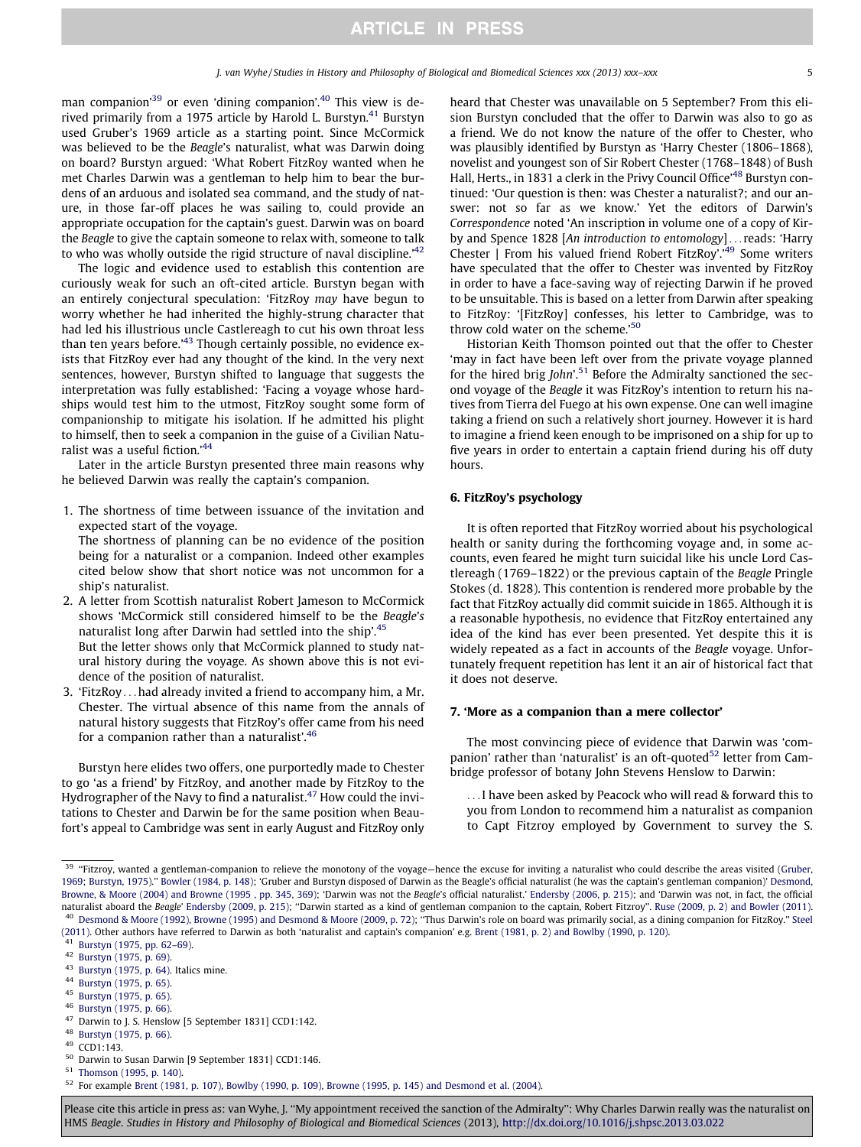man companion<sup>39</sup> or even 'dining companion'.<sup>40</sup> This view is derived primarily from a 1975 article by Harold L. Burstyn.<sup>41</sup> Burstyn used Gruber's 1969 article as a starting point. Since McCormick was believed to be the Beagle's naturalist, what was Darwin doing on board? Burstyn argued: 'What Robert FitzRoy wanted when he met Charles Darwin was a gentleman to help him to bear the burdens of an arduous and isolated sea command, and the study of nature, in those far-off places he was sailing to, could provide an appropriate occupation for the captain's guest. Darwin was on board the Beagle to give the captain someone to relax with, someone to talk to who was wholly outside the rigid structure of naval discipline.<sup>42</sup>

The logic and evidence used to establish this contention are curiously weak for such an oft-cited article. Burstyn began with an entirely conjectural speculation: 'FitzRoy may have begun to worry whether he had inherited the highly-strung character that had led his illustrious uncle Castlereagh to cut his own throat less than ten years before.<sup>43</sup> Though certainly possible, no evidence exists that FitzRoy ever had any thought of the kind. In the very next sentences, however, Burstyn shifted to language that suggests the interpretation was fully established: 'Facing a voyage whose hardships would test him to the utmost, FitzRoy sought some form of companionship to mitigate his isolation. If he admitted his plight to himself, then to seek a companion in the guise of a Civilian Naturalist was a useful fiction.'44

Later in the article Burstyn presented three main reasons why he believed Darwin was really the captain's companion.

1. The shortness of time between issuance of the invitation and expected start of the voyage.

The shortness of planning can be no evidence of the position being for a naturalist or a companion. Indeed other examples cited below show that short notice was not uncommon for a ship's naturalist.

- 2. A letter from Scottish naturalist Robert Jameson to McCormick shows 'McCormick still considered himself to be the Beagle's naturalist long after Darwin had settled into the ship'.45 But the letter shows only that McCormick planned to study natural history during the voyage. As shown above this is not evidence of the position of naturalist.
- 3. 'FitzRoy...had already invited a friend to accompany him, a Mr. Chester. The virtual absence of this name from the annals of natural history suggests that FitzRoy's offer came from his need for a companion rather than a naturalist'.<sup>46</sup>

Burstyn here elides two offers, one purportedly made to Chester to go 'as a friend' by FitzRoy, and another made by FitzRoy to the Hydrographer of the Navy to find a naturalist.<sup>47</sup> How could the invitations to Chester and Darwin be for the same position when Beaufort's appeal to Cambridge was sent in early August and FitzRoy only heard that Chester was unavailable on 5 September? From this elision Burstyn concluded that the offer to Darwin was also to go as a friend. We do not know the nature of the offer to Chester, who was plausibly identified by Burstyn as 'Harry Chester (1806–1868), novelist and youngest son of Sir Robert Chester (1768–1848) of Bush Hall, Herts., in 1831 a clerk in the Privy Council Office<sup>148</sup> Burstyn continued: 'Our question is then: was Chester a naturalist?; and our answer: not so far as we know.' Yet the editors of Darwin's Correspondence noted 'An inscription in volume one of a copy of Kirby and Spence 1828 [An introduction to entomology]... reads: 'Harry Chester | From his valued friend Robert FitzRoy'.'<sup>49</sup> Some writers have speculated that the offer to Chester was invented by FitzRoy in order to have a face-saving way of rejecting Darwin if he proved to be unsuitable. This is based on a letter from Darwin after speaking to FitzRoy: '[FitzRoy] confesses, his letter to Cambridge, was to throw cold water on the scheme.'50

Historian Keith Thomson pointed out that the offer to Chester 'may in fact have been left over from the private voyage planned for the hired brig John'.<sup>51</sup> Before the Admiralty sanctioned the second voyage of the Beagle it was FitzRoy's intention to return his natives from Tierra del Fuego at his own expense. One can well imagine taking a friend on such a relatively short journey. However it is hard to imagine a friend keen enough to be imprisoned on a ship for up to five years in order to entertain a captain friend during his off duty hours.

#### 6. FitzRoy's psychology

It is often reported that FitzRoy worried about his psychological health or sanity during the forthcoming voyage and, in some accounts, even feared he might turn suicidal like his uncle Lord Castlereagh (1769–1822) or the previous captain of the Beagle Pringle Stokes (d. 1828). This contention is rendered more probable by the fact that FitzRoy actually did commit suicide in 1865. Although it is a reasonable hypothesis, no evidence that FitzRoy entertained any idea of the kind has ever been presented. Yet despite this it is widely repeated as a fact in accounts of the Beagle voyage. Unfortunately frequent repetition has lent it an air of historical fact that it does not deserve.

#### 7. 'More as a companion than a mere collector'

The most convincing piece of evidence that Darwin was 'companion' rather than 'naturalist' is an oft-quoted<sup>52</sup> letter from Cambridge professor of botany John Stevens Henslow to Darwin:

...I have been asked by Peacock who will read & forward this to you from London to recommend him a naturalist as companion to Capt Fitzroy employed by Government to survey the S.

<sup>&</sup>lt;sup>39</sup> "Fitzroy, wanted a gentleman-companion to relieve the monotony of the voyage—hence the excuse for inviting a naturalist who could describe the areas visited ([Gruber,](#page-9-0) [1969; Burstyn, 1975\)](#page-9-0).'' [Bowler \(1984, p. 148\)](#page-9-0); 'Gruber and Burstyn disposed of Darwin as the Beagle's official naturalist (he was the captain's gentleman companion)' [Desmond,](#page-9-0) [Browne, & Moore \(2004\) and Browne \(1995 , pp. 345, 369\)](#page-9-0); 'Darwin was not the Beagle's official naturalist.' [Endersby \(2006, p. 215\)](#page-9-0); and 'Darwin was not, in fact, the official naturalist aboard the Beagle' [Endersby \(2009, p. 215\)](#page-9-0); "Darwin started as a kind of gentleman companion to the captain, Robert Fitzroy". [Ruse \(2009, p. 2\) and Bowler \(2011\)](#page-9-0).  $^{40}$  [Desmond & Moore \(1992\), Browne \(1995\) and Desmond & Moore \(2009, p. 72\);](#page-9-0) "Thus Darwin's role on board was primarily social, as a dining companion for FitzRoy." [Steel](#page-9-0) [\(2011\)](#page-9-0). Other authors have referred to Darwin as both 'naturalist and captain's companion' e.g. [Brent \(1981, p. 2\) and Bowlby \(1990, p. 120\)](#page-9-0).

<sup>41</sup> [Burstyn \(1975, pp. 62–69\)](#page-9-0).

<sup>&</sup>lt;sup>42</sup> [Burstyn \(1975, p. 69\).](#page-9-0)<br><sup>43</sup> Burstyn (1975, p. 64).

<sup>&</sup>lt;sup>43</sup> [Burstyn \(1975, p. 64\).](#page-9-0) Italics mine.<br><sup>44</sup> Purstyn (1975, p. 65).

<sup>&</sup>lt;sup>44</sup> [Burstyn \(1975, p. 65\).](#page-9-0)<br><sup>45</sup> Burstyn (1975, p. 65).

[Burstyn \(1975, p. 65\).](#page-9-0)

 $^{46}$  [Burstyn \(1975, p. 66\).](#page-9-0)

<sup>&</sup>lt;sup>47</sup> Darwin to J. S. Henslow [5 September 1831] CCD1:142.

<sup>&</sup>lt;sup>48</sup> [Burstyn \(1975, p. 66\).](#page-9-0)<br><sup>49</sup> CCD1:142

 $^{49}$  CCD1:143.

<sup>&</sup>lt;sup>50</sup> Darwin to Susan Darwin [9 September 1831] CCD1:146.<br><sup>51</sup> Thomson (1005, p. 140) [Thomson \(1995, p. 140\).](#page-10-0)

<sup>52</sup> For example [Brent \(1981, p. 107\), Bowlby \(1990, p. 109\), Browne \(1995, p. 145\) and Desmond et al. \(2004\)](#page-9-0).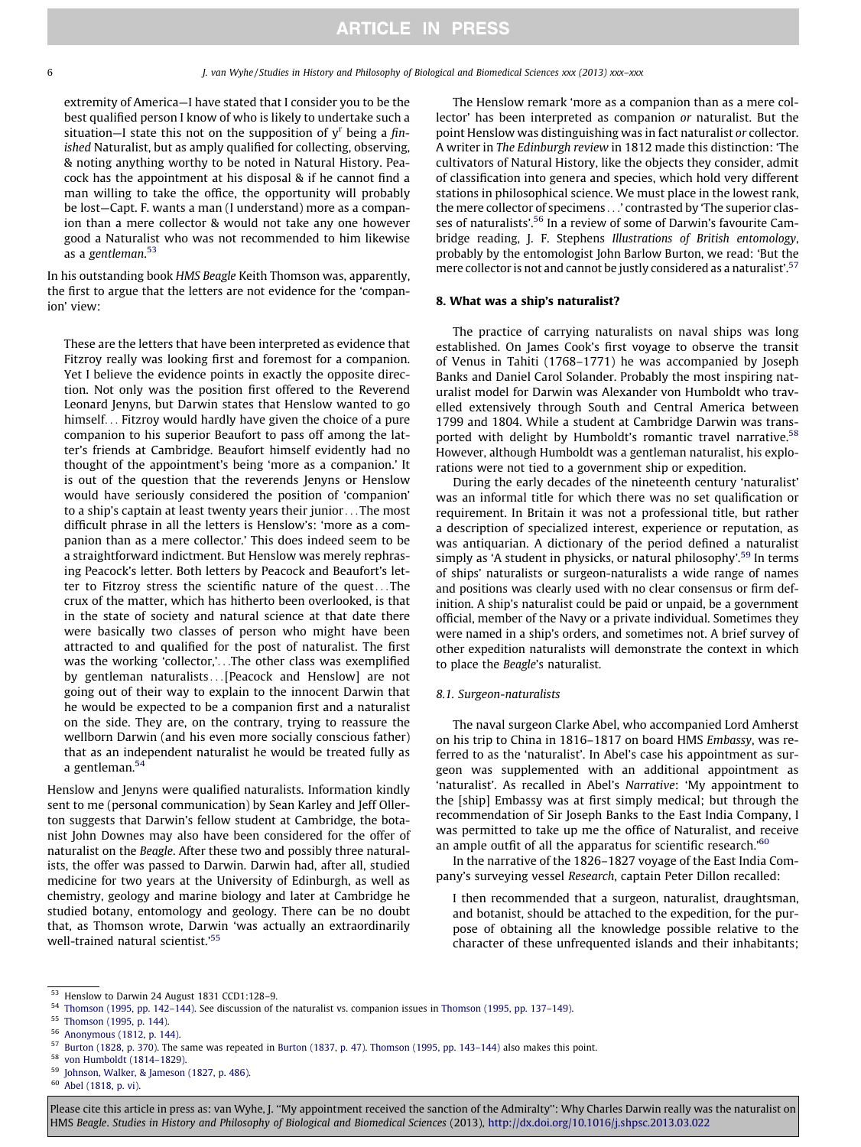extremity of America—I have stated that I consider you to be the best qualified person I know of who is likely to undertake such a situation—I state this not on the supposition of  $v<sup>r</sup>$  being a finished Naturalist, but as amply qualified for collecting, observing, & noting anything worthy to be noted in Natural History. Peacock has the appointment at his disposal & if he cannot find a man willing to take the office, the opportunity will probably be lost—Capt. F. wants a man (I understand) more as a companion than a mere collector & would not take any one however good a Naturalist who was not recommended to him likewise as a gentleman.<sup>53</sup>

In his outstanding book HMS Beagle Keith Thomson was, apparently, the first to argue that the letters are not evidence for the 'companion' view:

These are the letters that have been interpreted as evidence that Fitzroy really was looking first and foremost for a companion. Yet I believe the evidence points in exactly the opposite direction. Not only was the position first offered to the Reverend Leonard Jenyns, but Darwin states that Henslow wanted to go himself... Fitzroy would hardly have given the choice of a pure companion to his superior Beaufort to pass off among the latter's friends at Cambridge. Beaufort himself evidently had no thought of the appointment's being 'more as a companion.' It is out of the question that the reverends Jenyns or Henslow would have seriously considered the position of 'companion' to a ship's captain at least twenty years their junior ...The most difficult phrase in all the letters is Henslow's: 'more as a companion than as a mere collector.' This does indeed seem to be a straightforward indictment. But Henslow was merely rephrasing Peacock's letter. Both letters by Peacock and Beaufort's letter to Fitzroy stress the scientific nature of the quest...The crux of the matter, which has hitherto been overlooked, is that in the state of society and natural science at that date there were basically two classes of person who might have been attracted to and qualified for the post of naturalist. The first was the working 'collector,'...The other class was exemplified by gentleman naturalists...[Peacock and Henslow] are not going out of their way to explain to the innocent Darwin that he would be expected to be a companion first and a naturalist on the side. They are, on the contrary, trying to reassure the wellborn Darwin (and his even more socially conscious father) that as an independent naturalist he would be treated fully as a gentleman.<sup>54</sup>

Henslow and Jenyns were qualified naturalists. Information kindly sent to me (personal communication) by Sean Karley and Jeff Ollerton suggests that Darwin's fellow student at Cambridge, the botanist John Downes may also have been considered for the offer of naturalist on the Beagle. After these two and possibly three naturalists, the offer was passed to Darwin. Darwin had, after all, studied medicine for two years at the University of Edinburgh, as well as chemistry, geology and marine biology and later at Cambridge he studied botany, entomology and geology. There can be no doubt that, as Thomson wrote, Darwin 'was actually an extraordinarily well-trained natural scientist.'<sup>55</sup>

The Henslow remark 'more as a companion than as a mere collector' has been interpreted as companion or naturalist. But the point Henslow was distinguishing was in fact naturalist or collector. A writer in The Edinburgh review in 1812 made this distinction: 'The cultivators of Natural History, like the objects they consider, admit of classification into genera and species, which hold very different stations in philosophical science. We must place in the lowest rank, the mere collector of specimens ...' contrasted by 'The superior classes of naturalists'.<sup>56</sup> In a review of some of Darwin's favourite Cambridge reading, J. F. Stephens Illustrations of British entomology, probably by the entomologist John Barlow Burton, we read: 'But the mere collector is not and cannot be justly considered as a naturalist'.<sup>57</sup>

#### 8. What was a ship's naturalist?

The practice of carrying naturalists on naval ships was long established. On James Cook's first voyage to observe the transit of Venus in Tahiti (1768–1771) he was accompanied by Joseph Banks and Daniel Carol Solander. Probably the most inspiring naturalist model for Darwin was Alexander von Humboldt who travelled extensively through South and Central America between 1799 and 1804. While a student at Cambridge Darwin was transported with delight by Humboldt's romantic travel narrative.<sup>58</sup> However, although Humboldt was a gentleman naturalist, his explorations were not tied to a government ship or expedition.

During the early decades of the nineteenth century 'naturalist' was an informal title for which there was no set qualification or requirement. In Britain it was not a professional title, but rather a description of specialized interest, experience or reputation, as was antiquarian. A dictionary of the period defined a naturalist simply as 'A student in physicks, or natural philosophy'.<sup>59</sup> In terms of ships' naturalists or surgeon-naturalists a wide range of names and positions was clearly used with no clear consensus or firm definition. A ship's naturalist could be paid or unpaid, be a government official, member of the Navy or a private individual. Sometimes they were named in a ship's orders, and sometimes not. A brief survey of other expedition naturalists will demonstrate the context in which to place the Beagle's naturalist.

#### 8.1. Surgeon-naturalists

The naval surgeon Clarke Abel, who accompanied Lord Amherst on his trip to China in 1816–1817 on board HMS Embassy, was referred to as the 'naturalist'. In Abel's case his appointment as surgeon was supplemented with an additional appointment as 'naturalist'. As recalled in Abel's Narrative: 'My appointment to the [ship] Embassy was at first simply medical; but through the recommendation of Sir Joseph Banks to the East India Company, I was permitted to take up me the office of Naturalist, and receive an ample outfit of all the apparatus for scientific research.'<sup>60</sup>

In the narrative of the 1826–1827 voyage of the East India Company's surveying vessel Research, captain Peter Dillon recalled:

I then recommended that a surgeon, naturalist, draughtsman, and botanist, should be attached to the expedition, for the purpose of obtaining all the knowledge possible relative to the character of these unfrequented islands and their inhabitants;

 $\frac{53}{53}$  Henslow to Darwin 24 August 1831 CCD1:128-9.

<sup>54</sup> [Thomson \(1995, pp. 142–144\)](#page-10-0). See discussion of the naturalist vs. companion issues in [Thomson \(1995, pp. 137–149\).](#page-10-0)

<sup>55</sup> [Thomson \(1995, p. 144\).](#page-10-0)

 $^{56}$  [Anonymous \(1812, p. 144\).](#page-9-0)<br> $^{57}$  Purton (1828, p. 270). The

[Burton \(1828, p. 370\).](#page-9-0) The same was repeated in [Burton \(1837, p. 47\).](#page-9-0) [Thomson \(1995, pp. 143–144\)](#page-10-0) also makes this point.

 $58$  [von Humboldt \(1814–1829\).](#page-10-0)

[Johnson, Walker, & Jameson \(1827, p. 486\)](#page-9-0).

<sup>60</sup> [Abel \(1818, p. vi\).](#page-9-0)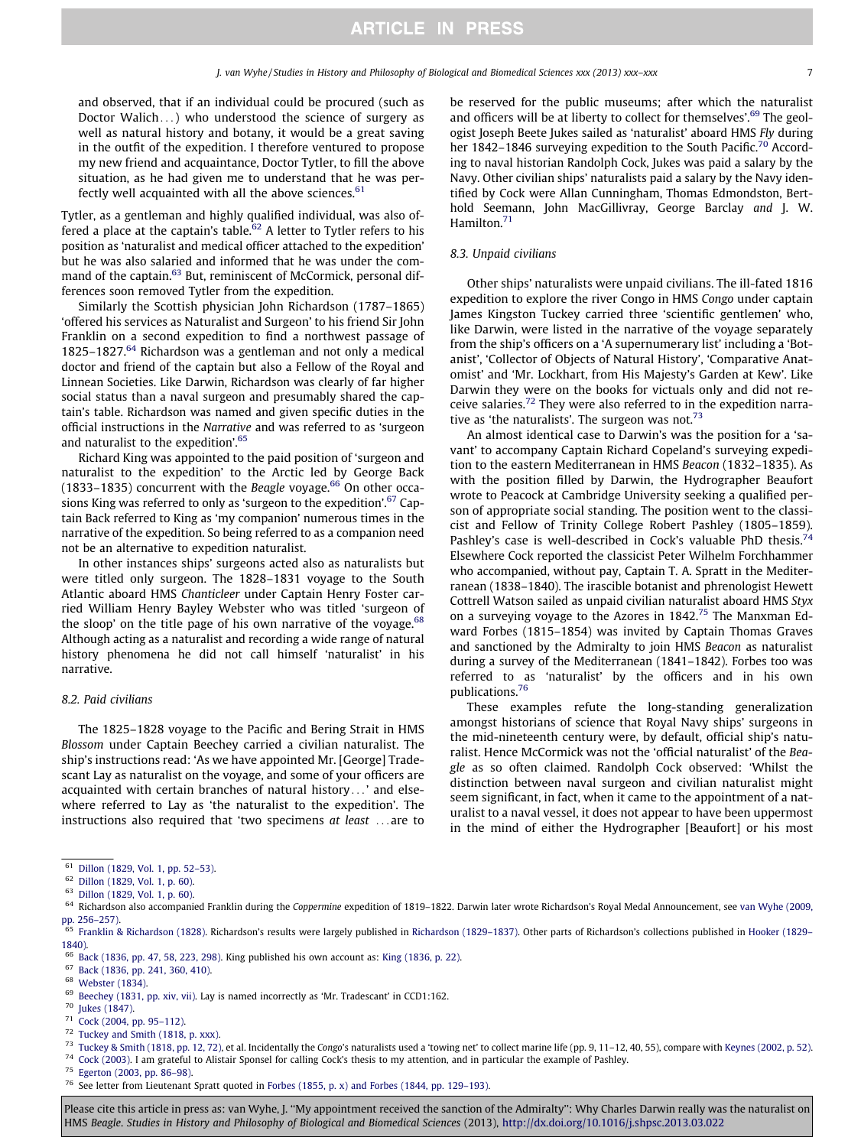and observed, that if an individual could be procured (such as Doctor Walich...) who understood the science of surgery as well as natural history and botany, it would be a great saving in the outfit of the expedition. I therefore ventured to propose my new friend and acquaintance, Doctor Tytler, to fill the above situation, as he had given me to understand that he was perfectly well acquainted with all the above sciences. $6$ 

Tytler, as a gentleman and highly qualified individual, was also offered a place at the captain's table.<sup>62</sup> A letter to Tytler refers to his position as 'naturalist and medical officer attached to the expedition' but he was also salaried and informed that he was under the command of the captain.<sup>63</sup> But, reminiscent of McCormick, personal differences soon removed Tytler from the expedition.

Similarly the Scottish physician John Richardson (1787–1865) 'offered his services as Naturalist and Surgeon' to his friend Sir John Franklin on a second expedition to find a northwest passage of 1825–1827.<sup>64</sup> Richardson was a gentleman and not only a medical doctor and friend of the captain but also a Fellow of the Royal and Linnean Societies. Like Darwin, Richardson was clearly of far higher social status than a naval surgeon and presumably shared the captain's table. Richardson was named and given specific duties in the official instructions in the Narrative and was referred to as 'surgeon and naturalist to the expedition'.<sup>65</sup>

Richard King was appointed to the paid position of 'surgeon and naturalist to the expedition' to the Arctic led by George Back (1833–1835) concurrent with the Beagle voyage. $66$  On other occasions King was referred to only as 'surgeon to the expedition'.<sup>67</sup> Captain Back referred to King as 'my companion' numerous times in the narrative of the expedition. So being referred to as a companion need not be an alternative to expedition naturalist.

In other instances ships' surgeons acted also as naturalists but were titled only surgeon. The 1828–1831 voyage to the South Atlantic aboard HMS Chanticleer under Captain Henry Foster carried William Henry Bayley Webster who was titled 'surgeon of the sloop' on the title page of his own narrative of the voyage. $68$ Although acting as a naturalist and recording a wide range of natural history phenomena he did not call himself 'naturalist' in his narrative.

#### 8.2. Paid civilians

The 1825–1828 voyage to the Pacific and Bering Strait in HMS Blossom under Captain Beechey carried a civilian naturalist. The ship's instructions read: 'As we have appointed Mr. [George] Tradescant Lay as naturalist on the voyage, and some of your officers are acquainted with certain branches of natural history...' and elsewhere referred to Lay as 'the naturalist to the expedition'. The instructions also required that 'two specimens at least ...are to be reserved for the public museums; after which the naturalist and officers will be at liberty to collect for themselves'.<sup>69</sup> The geologist Joseph Beete Jukes sailed as 'naturalist' aboard HMS Fly during her 1842–1846 surveying expedition to the South Pacific.<sup>70</sup> According to naval historian Randolph Cock, Jukes was paid a salary by the Navy. Other civilian ships' naturalists paid a salary by the Navy identified by Cock were Allan Cunningham, Thomas Edmondston, Berthold Seemann, John MacGillivray, George Barclay and J. W. Hamilton.71

#### 8.3. Unpaid civilians

Other ships' naturalists were unpaid civilians. The ill-fated 1816 expedition to explore the river Congo in HMS Congo under captain James Kingston Tuckey carried three 'scientific gentlemen' who, like Darwin, were listed in the narrative of the voyage separately from the ship's officers on a 'A supernumerary list' including a 'Botanist', 'Collector of Objects of Natural History', 'Comparative Anatomist' and 'Mr. Lockhart, from His Majesty's Garden at Kew'. Like Darwin they were on the books for victuals only and did not receive salaries.<sup>72</sup> They were also referred to in the expedition narrative as 'the naturalists'. The surgeon was not. $73$ 

An almost identical case to Darwin's was the position for a 'savant' to accompany Captain Richard Copeland's surveying expedition to the eastern Mediterranean in HMS Beacon (1832–1835). As with the position filled by Darwin, the Hydrographer Beaufort wrote to Peacock at Cambridge University seeking a qualified person of appropriate social standing. The position went to the classicist and Fellow of Trinity College Robert Pashley (1805–1859). Pashley's case is well-described in Cock's valuable PhD thesis. $74$ Elsewhere Cock reported the classicist Peter Wilhelm Forchhammer who accompanied, without pay, Captain T. A. Spratt in the Mediterranean (1838–1840). The irascible botanist and phrenologist Hewett Cottrell Watson sailed as unpaid civilian naturalist aboard HMS Styx on a surveying voyage to the Azores in 1842.75 The Manxman Edward Forbes (1815–1854) was invited by Captain Thomas Graves and sanctioned by the Admiralty to join HMS Beacon as naturalist during a survey of the Mediterranean (1841–1842). Forbes too was referred to as 'naturalist' by the officers and in his own publications.76

These examples refute the long-standing generalization amongst historians of science that Royal Navy ships' surgeons in the mid-nineteenth century were, by default, official ship's naturalist. Hence McCormick was not the 'official naturalist' of the Beagle as so often claimed. Randolph Cock observed: 'Whilst the distinction between naval surgeon and civilian naturalist might seem significant, in fact, when it came to the appointment of a naturalist to a naval vessel, it does not appear to have been uppermost in the mind of either the Hydrographer [Beaufort] or his most

 $^{67}$  [Back \(1836, pp. 241, 360, 410\)](#page-9-0).<br> $^{68}$  Mobstor (1824).

 $^{71}$  [Cock \(2004, pp. 95–112\)](#page-9-0).

<sup>&</sup>lt;sup>61</sup> [Dillon \(1829, Vol. 1, pp. 52–53\)](#page-9-0).<br><sup>62</sup> Dillon (1820, Vol. 1, p. 60).

[Dillon \(1829, Vol. 1, p. 60\)](#page-9-0).

[Dillon \(1829, Vol. 1, p. 60\)](#page-9-0).

<sup>&</sup>lt;sup>64</sup> Richardson also accompanied Franklin during the Coppermine expedition of 1819–1822. Darwin later wrote Richardson's Royal Medal Announcement, see [van Wyhe \(2009,](#page-10-0) [pp. 256–257\)](#page-10-0).<br><sup>65</sup> [Franklin & Richardson \(1828\)](#page-9-0). Richardson's results were largely published in [Richardson \(1829–1837\)](#page-9-0). Other parts of Richardson's collections published in [Hooker \(1829–](#page-9-0)

[<sup>1840\).</sup>](#page-9-0)

<sup>66</sup> [Back \(1836, pp. 47, 58, 223, 298\).](#page-9-0) King published his own account as: [King \(1836, p. 22\)](#page-9-0).

 $^{68}$  [Webster \(1834\).](#page-10-0)

 $^{69}$  [Beechey \(1831, pp. xiv, vii\)](#page-9-0). Lay is named incorrectly as 'Mr. Tradescant' in CCD1:162.<br> $^{70}$  Julies (1847)

 $^{70}$  [Jukes \(1847\).](#page-9-0)

<sup>&</sup>lt;sup>72</sup> [Tuckey and Smith \(1818, p. xxx\)](#page-10-0).<br><sup>73</sup> Tuckey & Smith (1818, pp. 12, 72).

[Tuckey & Smith \(1818, pp. 12, 72\)](#page-10-0), et al. Incidentally the Congo's naturalists used a 'towing net' to collect marine life (pp. 9, 11-12, 40, 55), compare with [Keynes \(2002, p. 52\)](#page-9-0).

<sup>74</sup> [Cock \(2003\)](#page-9-0). I am grateful to Alistair Sponsel for calling Cock's thesis to my attention, and in particular the example of Pashley.

<sup>75</sup> [Egerton \(2003, pp. 86–98\)](#page-9-0).

<sup>76</sup> See letter from Lieutenant Spratt quoted in [Forbes \(1855, p. x\) and Forbes \(1844, pp. 129–193\).](#page-9-0)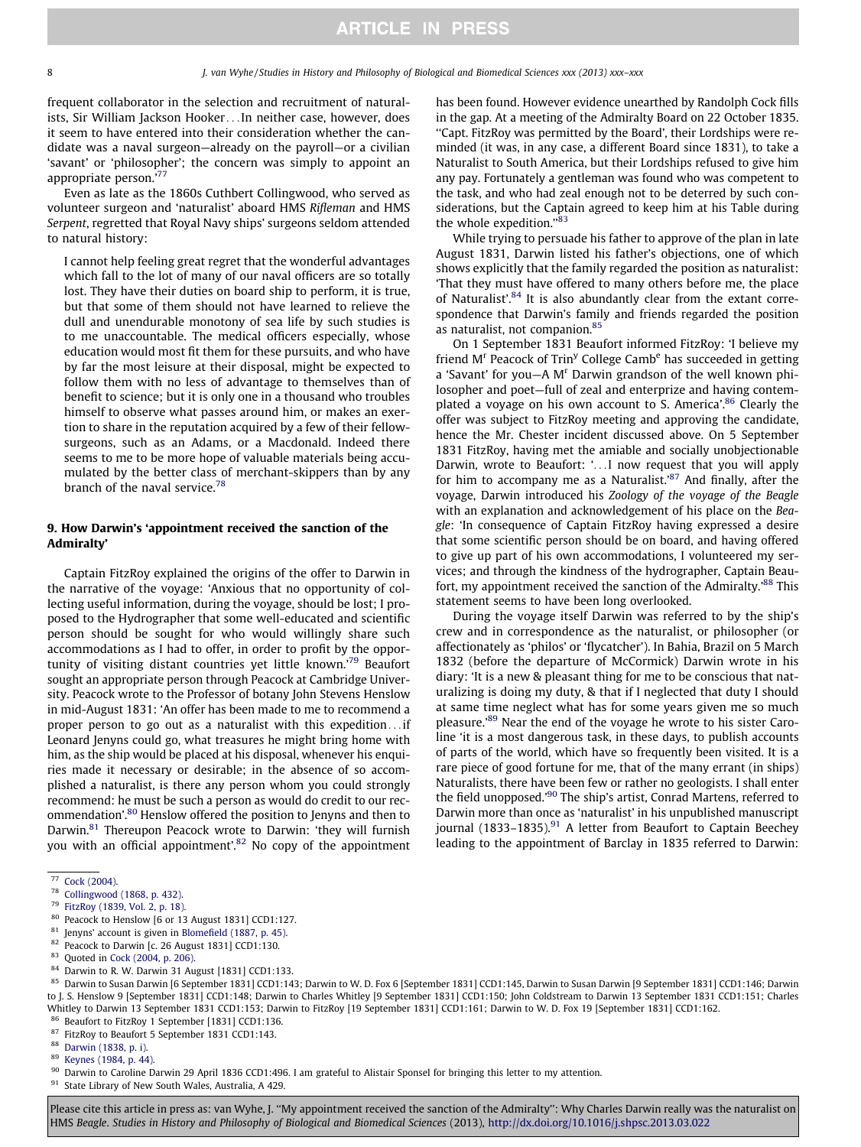frequent collaborator in the selection and recruitment of naturalists, Sir William Jackson Hooker ...In neither case, however, does it seem to have entered into their consideration whether the candidate was a naval surgeon—already on the payroll—or a civilian 'savant' or 'philosopher'; the concern was simply to appoint an appropriate person.'77

Even as late as the 1860s Cuthbert Collingwood, who served as volunteer surgeon and 'naturalist' aboard HMS Rifleman and HMS Serpent, regretted that Royal Navy ships' surgeons seldom attended to natural history:

I cannot help feeling great regret that the wonderful advantages which fall to the lot of many of our naval officers are so totally lost. They have their duties on board ship to perform, it is true, but that some of them should not have learned to relieve the dull and unendurable monotony of sea life by such studies is to me unaccountable. The medical officers especially, whose education would most fit them for these pursuits, and who have by far the most leisure at their disposal, might be expected to follow them with no less of advantage to themselves than of benefit to science; but it is only one in a thousand who troubles himself to observe what passes around him, or makes an exertion to share in the reputation acquired by a few of their fellowsurgeons, such as an Adams, or a Macdonald. Indeed there seems to me to be more hope of valuable materials being accumulated by the better class of merchant-skippers than by any branch of the naval service.<sup>78</sup>

#### 9. How Darwin's 'appointment received the sanction of the Admiralty'

Captain FitzRoy explained the origins of the offer to Darwin in the narrative of the voyage: 'Anxious that no opportunity of collecting useful information, during the voyage, should be lost; I proposed to the Hydrographer that some well-educated and scientific person should be sought for who would willingly share such accommodations as I had to offer, in order to profit by the opportunity of visiting distant countries yet little known.'79 Beaufort sought an appropriate person through Peacock at Cambridge University. Peacock wrote to the Professor of botany John Stevens Henslow in mid-August 1831: 'An offer has been made to me to recommend a proper person to go out as a naturalist with this expedition...if Leonard Jenyns could go, what treasures he might bring home with him, as the ship would be placed at his disposal, whenever his enquiries made it necessary or desirable; in the absence of so accomplished a naturalist, is there any person whom you could strongly recommend: he must be such a person as would do credit to our recommendation'.<sup>80</sup> Henslow offered the position to Jenyns and then to Darwin.<sup>81</sup> Thereupon Peacock wrote to Darwin: 'they will furnish you with an official appointment'.<sup>82</sup> No copy of the appointment

[Cock \(2004\)](#page-9-0).

Darwin to R. W. Darwin 31 August [1831] CCD1:133.

85 Darwin to Susan Darwin [6 September 1831] CCD1:143; Darwin to W. D. Fox 6 [September 1831] CCD1:145, Darwin to Susan Darwin [9 September 1831] CCD1:146; Darwin to J. S. Henslow 9 [September 1831] CCD1:148; Darwin to Charles Whitley [9 September 1831] CCD1:150; John Coldstream to Darwin 13 September 1831 CCD1:151; Charles Whitley to Darwin 13 September 1831 CCD1:153; Darwin to FitzRoy [19 September 1831] CCD1:161; Darwin to W. D. Fox 19 [September 1831] CCD1:162.

- Beaufort to FitzRoy 1 September [1831] CCD1:136. <sup>87</sup> FitzRoy to Beaufort 5 September 1831 CCD1:143.
- [Darwin \(1838, p. i\)](#page-9-0).

<sup>89</sup> [Keynes \(1984, p. 44\).](#page-9-0)

<sup>91</sup> State Library of New South Wales, Australia, A 429.

has been found. However evidence unearthed by Randolph Cock fills in the gap. At a meeting of the Admiralty Board on 22 October 1835. ''Capt. FitzRoy was permitted by the Board', their Lordships were reminded (it was, in any case, a different Board since 1831), to take a Naturalist to South America, but their Lordships refused to give him any pay. Fortunately a gentleman was found who was competent to the task, and who had zeal enough not to be deterred by such considerations, but the Captain agreed to keep him at his Table during the whole expedition."83

While trying to persuade his father to approve of the plan in late August 1831, Darwin listed his father's objections, one of which shows explicitly that the family regarded the position as naturalist: 'That they must have offered to many others before me, the place of Naturalist'.<sup>84</sup> It is also abundantly clear from the extant correspondence that Darwin's family and friends regarded the position as naturalist, not companion.<sup>85</sup>

On 1 September 1831 Beaufort informed FitzRoy: 'I believe my friend  $M<sup>r</sup>$  Peacock of Trin<sup>y</sup> College Camb<sup>e</sup> has succeeded in getting a 'Savant' for you—A M<sup>r</sup> Darwin grandson of the well known philosopher and poet—full of zeal and enterprize and having contemplated a voyage on his own account to S. America'.<sup>86</sup> Clearly the offer was subject to FitzRoy meeting and approving the candidate, hence the Mr. Chester incident discussed above. On 5 September 1831 FitzRoy, having met the amiable and socially unobjectionable Darwin, wrote to Beaufort: '...I now request that you will apply for him to accompany me as a Naturalist.<sup>87</sup> And finally, after the voyage, Darwin introduced his Zoology of the voyage of the Beagle with an explanation and acknowledgement of his place on the Beagle: 'In consequence of Captain FitzRoy having expressed a desire that some scientific person should be on board, and having offered to give up part of his own accommodations, I volunteered my services; and through the kindness of the hydrographer, Captain Beaufort, my appointment received the sanction of the Admiralty.'88 This statement seems to have been long overlooked.

During the voyage itself Darwin was referred to by the ship's crew and in correspondence as the naturalist, or philosopher (or affectionately as 'philos' or 'flycatcher'). In Bahia, Brazil on 5 March 1832 (before the departure of McCormick) Darwin wrote in his diary: 'It is a new & pleasant thing for me to be conscious that naturalizing is doing my duty, & that if I neglected that duty I should at same time neglect what has for some years given me so much pleasure.<sup>89</sup> Near the end of the voyage he wrote to his sister Caroline 'it is a most dangerous task, in these days, to publish accounts of parts of the world, which have so frequently been visited. It is a rare piece of good fortune for me, that of the many errant (in ships) Naturalists, there have been few or rather no geologists. I shall enter the field unopposed.'90 The ship's artist, Conrad Martens, referred to Darwin more than once as 'naturalist' in his unpublished manuscript journal (1833–1835).<sup>91</sup> A letter from Beaufort to Captain Beechey leading to the appointment of Barclay in 1835 referred to Darwin:

<sup>78</sup> [Collingwood \(1868, p. 432\)](#page-9-0).

<sup>79</sup> [FitzRoy \(1839, Vol. 2, p. 18\)](#page-9-0).

<sup>80</sup> Peacock to Henslow [6 or 13 August 1831] CCD1:127.

<sup>81</sup> Jenyns' account is given in [Blomefield \(1887, p. 45\).](#page-9-0)

<sup>&</sup>lt;sup>82</sup> Peacock to Darwin [c. 26 August 1831] CCD1:130.<br><sup>83</sup> Ounted in Cock (2004, p. 206)

Quoted in [Cock \(2004, p. 206\).](#page-9-0)

<sup>90</sup> Darwin to Caroline Darwin 29 April 1836 CCD1:496. I am grateful to Alistair Sponsel for bringing this letter to my attention.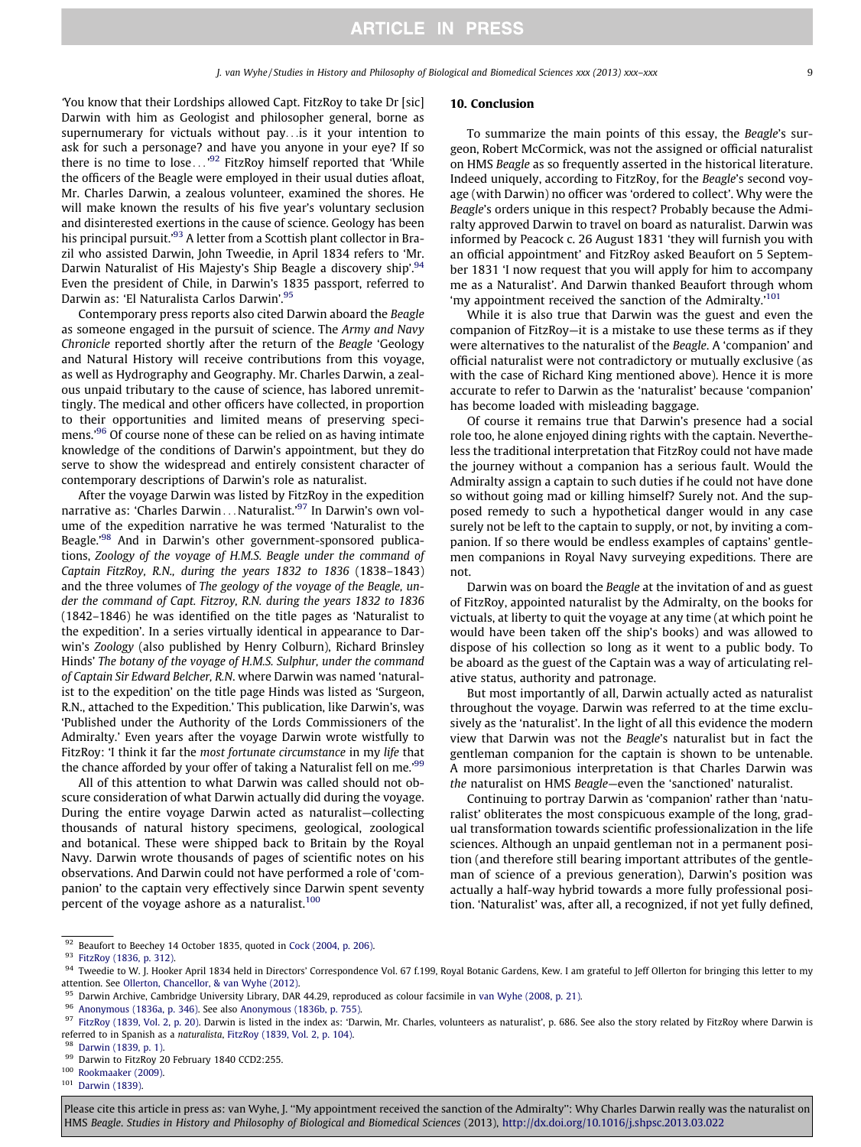'You know that their Lordships allowed Capt. FitzRoy to take Dr [sic] Darwin with him as Geologist and philosopher general, borne as supernumerary for victuals without pay...is it your intention to ask for such a personage? and have you anyone in your eye? If so there is no time to lose...' <sup>92</sup> FitzRoy himself reported that 'While the officers of the Beagle were employed in their usual duties afloat, Mr. Charles Darwin, a zealous volunteer, examined the shores. He will make known the results of his five year's voluntary seclusion and disinterested exertions in the cause of science. Geology has been his principal pursuit.'<sup>93</sup> A letter from a Scottish plant collector in Brazil who assisted Darwin, John Tweedie, in April 1834 refers to 'Mr. Darwin Naturalist of His Majesty's Ship Beagle a discovery ship'.<sup>94</sup> Even the president of Chile, in Darwin's 1835 passport, referred to Darwin as: 'El Naturalista Carlos Darwin'.<sup>95</sup>

Contemporary press reports also cited Darwin aboard the Beagle as someone engaged in the pursuit of science. The Army and Navy Chronicle reported shortly after the return of the Beagle 'Geology and Natural History will receive contributions from this voyage, as well as Hydrography and Geography. Mr. Charles Darwin, a zealous unpaid tributary to the cause of science, has labored unremittingly. The medical and other officers have collected, in proportion to their opportunities and limited means of preserving specimens.<sup>96</sup> Of course none of these can be relied on as having intimate knowledge of the conditions of Darwin's appointment, but they do serve to show the widespread and entirely consistent character of contemporary descriptions of Darwin's role as naturalist.

After the voyage Darwin was listed by FitzRoy in the expedition narrative as: 'Charles Darwin...Naturalist.'<sup>97</sup> In Darwin's own volume of the expedition narrative he was termed 'Naturalist to the Beagle.'98 And in Darwin's other government-sponsored publications, Zoology of the voyage of H.M.S. Beagle under the command of Captain FitzRoy, R.N., during the years 1832 to 1836 (1838–1843) and the three volumes of The geology of the voyage of the Beagle, under the command of Capt. Fitzroy, R.N. during the years 1832 to 1836 (1842–1846) he was identified on the title pages as 'Naturalist to the expedition'. In a series virtually identical in appearance to Darwin's Zoology (also published by Henry Colburn), Richard Brinsley Hinds' The botany of the voyage of H.M.S. Sulphur, under the command of Captain Sir Edward Belcher, R.N. where Darwin was named 'naturalist to the expedition' on the title page Hinds was listed as 'Surgeon, R.N., attached to the Expedition.' This publication, like Darwin's, was 'Published under the Authority of the Lords Commissioners of the Admiralty.' Even years after the voyage Darwin wrote wistfully to FitzRoy: 'I think it far the most fortunate circumstance in my life that the chance afforded by your offer of taking a Naturalist fell on me.'99

All of this attention to what Darwin was called should not obscure consideration of what Darwin actually did during the voyage. During the entire voyage Darwin acted as naturalist—collecting thousands of natural history specimens, geological, zoological and botanical. These were shipped back to Britain by the Royal Navy. Darwin wrote thousands of pages of scientific notes on his observations. And Darwin could not have performed a role of 'companion' to the captain very effectively since Darwin spent seventy percent of the voyage ashore as a naturalist.<sup>100</sup>

#### 10. Conclusion

To summarize the main points of this essay, the Beagle's surgeon, Robert McCormick, was not the assigned or official naturalist on HMS Beagle as so frequently asserted in the historical literature. Indeed uniquely, according to FitzRoy, for the Beagle's second voyage (with Darwin) no officer was 'ordered to collect'. Why were the Beagle's orders unique in this respect? Probably because the Admiralty approved Darwin to travel on board as naturalist. Darwin was informed by Peacock c. 26 August 1831 'they will furnish you with an official appointment' and FitzRoy asked Beaufort on 5 September 1831 'I now request that you will apply for him to accompany me as a Naturalist'. And Darwin thanked Beaufort through whom 'my appointment received the sanction of the Admiralty.'<sup>101</sup>

While it is also true that Darwin was the guest and even the companion of FitzRoy—it is a mistake to use these terms as if they were alternatives to the naturalist of the Beagle. A 'companion' and official naturalist were not contradictory or mutually exclusive (as with the case of Richard King mentioned above). Hence it is more accurate to refer to Darwin as the 'naturalist' because 'companion' has become loaded with misleading baggage.

Of course it remains true that Darwin's presence had a social role too, he alone enjoyed dining rights with the captain. Nevertheless the traditional interpretation that FitzRoy could not have made the journey without a companion has a serious fault. Would the Admiralty assign a captain to such duties if he could not have done so without going mad or killing himself? Surely not. And the supposed remedy to such a hypothetical danger would in any case surely not be left to the captain to supply, or not, by inviting a companion. If so there would be endless examples of captains' gentlemen companions in Royal Navy surveying expeditions. There are not.

Darwin was on board the Beagle at the invitation of and as guest of FitzRoy, appointed naturalist by the Admiralty, on the books for victuals, at liberty to quit the voyage at any time (at which point he would have been taken off the ship's books) and was allowed to dispose of his collection so long as it went to a public body. To be aboard as the guest of the Captain was a way of articulating relative status, authority and patronage.

But most importantly of all, Darwin actually acted as naturalist throughout the voyage. Darwin was referred to at the time exclusively as the 'naturalist'. In the light of all this evidence the modern view that Darwin was not the Beagle's naturalist but in fact the gentleman companion for the captain is shown to be untenable. A more parsimonious interpretation is that Charles Darwin was the naturalist on HMS Beagle—even the 'sanctioned' naturalist.

Continuing to portray Darwin as 'companion' rather than 'naturalist' obliterates the most conspicuous example of the long, gradual transformation towards scientific professionalization in the life sciences. Although an unpaid gentleman not in a permanent position (and therefore still bearing important attributes of the gentleman of science of a previous generation), Darwin's position was actually a half-way hybrid towards a more fully professional position. 'Naturalist' was, after all, a recognized, if not yet fully defined,

<sup>&</sup>lt;sup>92</sup> Beaufort to Beechey 14 October 1835, quoted in [Cock \(2004, p. 206\).](#page-9-0)

 $^{93}$  [FitzRoy \(1836, p. 312\)](#page-9-0).

Tweedie to W. J. Hooker April 1834 held in Directors' Correspondence Vol. 67 f.199, Royal Botanic Gardens, Kew. I am grateful to Jeff Ollerton for bringing this letter to my attention. See [Ollerton, Chancellor, & van Wyhe \(2012\)](#page-9-0).

<sup>95</sup> Darwin Archive, Cambridge University Library, DAR 44.29, reproduced as colour facsimile in [van Wyhe \(2008, p. 21\).](#page-10-0)

<sup>96</sup> [Anonymous \(1836a, p. 346\).](#page-9-0) See also [Anonymous \(1836b, p. 755\)](#page-9-0).

 $97$  [FitzRoy \(1839, Vol. 2, p. 20\)](#page-9-0). Darwin is listed in the index as: 'Darwin, Mr. Charles, volunteers as naturalist', p. 686. See also the story related by FitzRoy where Darwin is referred to in Spanish as a naturalista, [FitzRoy \(1839, Vol. 2, p. 104\).](#page-9-0)

 $98$  [Darwin \(1839, p. 1\).](#page-9-0)

Darwin to FitzRoy 20 February 1840 CCD2:255.

<sup>100</sup> [Rookmaaker \(2009\)](#page-9-0).

<sup>101</sup> [Darwin \(1839\).](#page-9-0)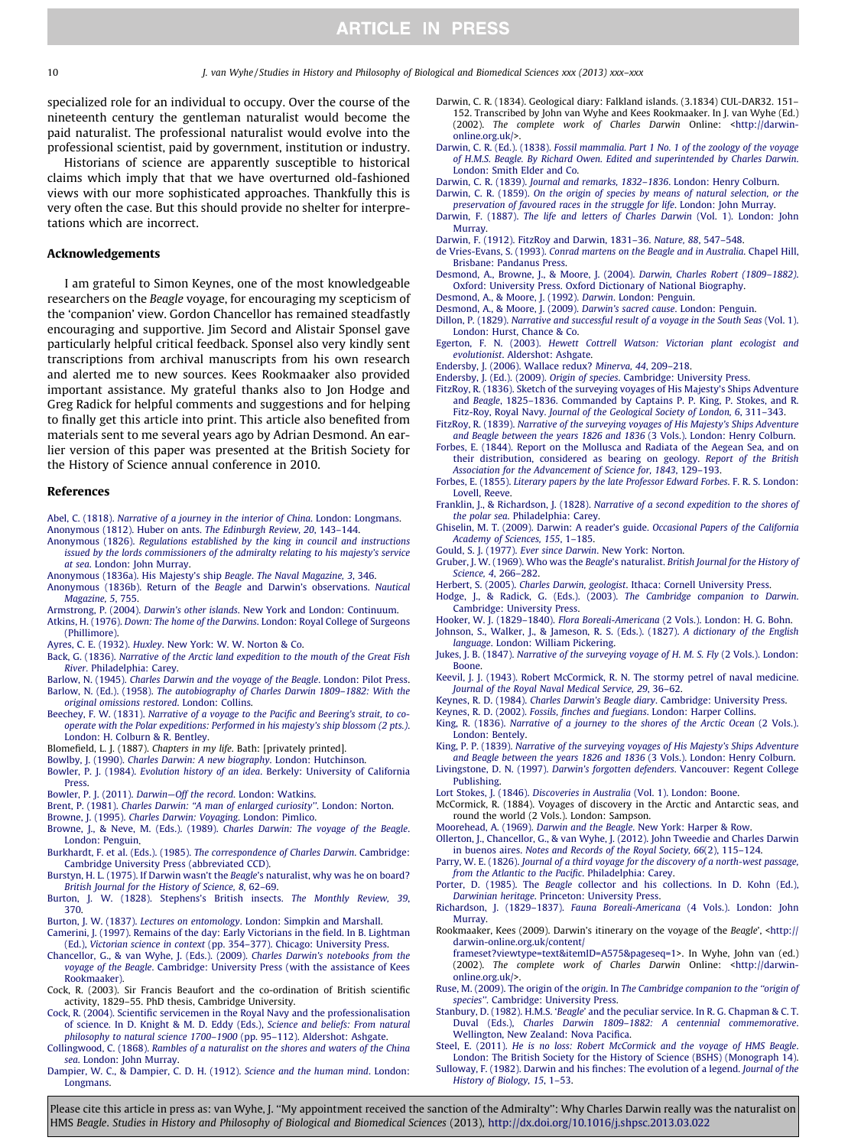<span id="page-9-0"></span>specialized role for an individual to occupy. Over the course of the nineteenth century the gentleman naturalist would become the paid naturalist. The professional naturalist would evolve into the professional scientist, paid by government, institution or industry.

Historians of science are apparently susceptible to historical claims which imply that that we have overturned old-fashioned views with our more sophisticated approaches. Thankfully this is very often the case. But this should provide no shelter for interpretations which are incorrect.

#### Acknowledgements

I am grateful to Simon Keynes, one of the most knowledgeable researchers on the Beagle voyage, for encouraging my scepticism of the 'companion' view. Gordon Chancellor has remained steadfastly encouraging and supportive. Jim Secord and Alistair Sponsel gave particularly helpful critical feedback. Sponsel also very kindly sent transcriptions from archival manuscripts from his own research and alerted me to new sources. Kees Rookmaaker also provided important assistance. My grateful thanks also to Jon Hodge and Greg Radick for helpful comments and suggestions and for helping to finally get this article into print. This article also benefited from materials sent to me several years ago by Adrian Desmond. An earlier version of this paper was presented at the British Society for the History of Science annual conference in 2010.

#### References

- Abel, C. (1818). [Narrative of a journey in the interior of China](http://refhub.elsevier.com/S1369-8486(13)00036-8/h0005). London: Longmans.
- [Anonymous \(1812\). Huber on ants.](http://refhub.elsevier.com/S1369-8486(13)00036-8/h0010) The Edinburgh Review, 20, 143–144.
- Anonymous (1826). [Regulations established by the king in council and instructions](http://refhub.elsevier.com/S1369-8486(13)00036-8/h0015) [issued by the lords commissioners of the admiralty relating to his majesty's service](http://refhub.elsevier.com/S1369-8486(13)00036-8/h0015) at sea[. London: John Murray.](http://refhub.elsevier.com/S1369-8486(13)00036-8/h0015)
- [Anonymous \(1836a\). His Majesty's ship](http://refhub.elsevier.com/S1369-8486(13)00036-8/h0020) Beagle. The Naval Magazine, 3, 346.
- [Anonymous \(1836b\). Return of the](http://refhub.elsevier.com/S1369-8486(13)00036-8/h0025) Beagle and Darwin's observations. Nautical [Magazine, 5](http://refhub.elsevier.com/S1369-8486(13)00036-8/h0025), 755.
- Armstrong, P. (2004). Darwin's other islands[. New York and London: Continuum.](http://refhub.elsevier.com/S1369-8486(13)00036-8/h0030)
- Atkins, H. (1976). Down: The home of the Darwins[. London: Royal College of Surgeons](http://refhub.elsevier.com/S1369-8486(13)00036-8/h0300) [\(Phillimore\).](http://refhub.elsevier.com/S1369-8486(13)00036-8/h0300)
- Ayres, C. E. (1932). Huxley[. New York: W. W. Norton & Co.](http://refhub.elsevier.com/S1369-8486(13)00036-8/h0035)
- Back, G. (1836). [Narrative of the Arctic land expedition to the mouth of the Great Fish](http://refhub.elsevier.com/S1369-8486(13)00036-8/h0040) River[. Philadelphia: Carey](http://refhub.elsevier.com/S1369-8486(13)00036-8/h0040).
- Barlow, N. (1945). [Charles Darwin and the voyage of the Beagle](http://refhub.elsevier.com/S1369-8486(13)00036-8/h0045). London: Pilot Press.
- Barlow, N. (Ed.). (1958). [The autobiography of Charles Darwin 1809–1882: With the](http://refhub.elsevier.com/S1369-8486(13)00036-8/h0050) [original omissions restored](http://refhub.elsevier.com/S1369-8486(13)00036-8/h0050). London: Collins.
- Beechey, F. W. (1831). [Narrative of a voyage to the Pacific and Beering's strait, to co](http://refhub.elsevier.com/S1369-8486(13)00036-8/h0305)[operate with the Polar expeditions: Performed in his majesty's ship blossom \(2 pts.\)](http://refhub.elsevier.com/S1369-8486(13)00036-8/h0305). [London: H. Colburn & R. Bentley](http://refhub.elsevier.com/S1369-8486(13)00036-8/h0305).
- Blomefield, L. J. (1887). Chapters in my life. Bath: [privately printed].
- Bowlby, J. (1990). [Charles Darwin: A new biography](http://refhub.elsevier.com/S1369-8486(13)00036-8/h0055). London: Hutchinson.
- Bowler, P. J. (1984). Evolution history of an idea[. Berkely: University of California](http://refhub.elsevier.com/S1369-8486(13)00036-8/h0400) [Press](http://refhub.elsevier.com/S1369-8486(13)00036-8/h0400).
- Bowler, P. J. (2011). [Darwin—Off the record](http://refhub.elsevier.com/S1369-8486(13)00036-8/h0065). London: Watkins.
- Brent, P. (1981). [Charles Darwin: ''A man of enlarged curiosity''](http://refhub.elsevier.com/S1369-8486(13)00036-8/h0070). London: Norton.
- Browne, J. (1995). [Charles Darwin: Voyaging](http://refhub.elsevier.com/S1369-8486(13)00036-8/h0075). London: Pimlico.
- Browne, J., & Neve, M. (Eds.). (1989). [Charles Darwin: The voyage of the Beagle](http://refhub.elsevier.com/S1369-8486(13)00036-8/h0080). [London: Penguin.](http://refhub.elsevier.com/S1369-8486(13)00036-8/h0080)
- Burkhardt, F. et al. (Eds.). (1985). [The correspondence of Charles Darwin](http://refhub.elsevier.com/S1369-8486(13)00036-8/h0310). Cambridge: [Cambridge University Press \(abbreviated CCD\).](http://refhub.elsevier.com/S1369-8486(13)00036-8/h0310)
- [Burstyn, H. L. \(1975\). If Darwin wasn't the](http://refhub.elsevier.com/S1369-8486(13)00036-8/h0085) Beagle's naturalist, why was he on board? [British Journal for the History of Science, 8](http://refhub.elsevier.com/S1369-8486(13)00036-8/h0085), 62–69.
- [Burton, J. W. \(1828\). Stephens's British insects.](http://refhub.elsevier.com/S1369-8486(13)00036-8/h0315) The Monthly Review, 39, [370](http://refhub.elsevier.com/S1369-8486(13)00036-8/h0315).
- Burton, J. W. (1837). Lectures on entomology[. London: Simpkin and Marshall](http://refhub.elsevier.com/S1369-8486(13)00036-8/h0090).
- [Camerini, J. \(1997\). Remains of the day: Early Victorians in the field. In B. Lightman](http://refhub.elsevier.com/S1369-8486(13)00036-8/h0095) (Ed.), Victorian science in context [\(pp. 354–377\). Chicago: University Press.](http://refhub.elsevier.com/S1369-8486(13)00036-8/h0095)
- [Chancellor, G., & van Wyhe, J. \(Eds.\). \(2009\).](http://refhub.elsevier.com/S1369-8486(13)00036-8/h0100) Charles Darwin's notebooks from the voyage of the Beagle[. Cambridge: University Press \(with the assistance of Kees](http://refhub.elsevier.com/S1369-8486(13)00036-8/h0100) [Rookmaaker\).](http://refhub.elsevier.com/S1369-8486(13)00036-8/h0100)
- Cock, R. (2003). Sir Francis Beaufort and the co-ordination of British scientific activity, 1829–55. PhD thesis, Cambridge University.
- [Cock, R. \(2004\). Scientific servicemen in the Royal Navy and the professionalisation](http://refhub.elsevier.com/S1369-8486(13)00036-8/h0105) [of science. In D. Knight & M. D. Eddy \(Eds.\),](http://refhub.elsevier.com/S1369-8486(13)00036-8/h0105) Science and beliefs: From natural [philosophy to natural science 1700–1900](http://refhub.elsevier.com/S1369-8486(13)00036-8/h0105) (pp. 95–112). Aldershot: Ashgate.
- Collingwood, C. (1868). [Rambles of a naturalist on the shores and waters of the China](http://refhub.elsevier.com/S1369-8486(13)00036-8/h0110) sea[. London: John Murray.](http://refhub.elsevier.com/S1369-8486(13)00036-8/h0110)
- [Dampier, W. C., & Dampier, C. D. H. \(1912\).](http://refhub.elsevier.com/S1369-8486(13)00036-8/h0115) Science and the human mind. London: [Longmans](http://refhub.elsevier.com/S1369-8486(13)00036-8/h0115).
- Darwin, C. R. (1834). Geological diary: Falkland islands. (3.1834) CUL-DAR32. 151– 152. Transcribed by John van Wyhe and Kees Rookmaaker. In J. van Wyhe (Ed.) (2002). The complete work of Charles Darwin Online: <[http://darwin](http://darwin-online.org.uk/)[online.org.uk/>](http://darwin-online.org.uk/).
- Darwin, C. R. (Ed.). (1838). [Fossil mammalia. Part 1 No. 1 of the zoology of the voyage](http://refhub.elsevier.com/S1369-8486(13)00036-8/h0125) [of H.M.S. Beagle. By Richard Owen. Edited and superintended by Charles Darwin](http://refhub.elsevier.com/S1369-8486(13)00036-8/h0125). [London: Smith Elder and Co](http://refhub.elsevier.com/S1369-8486(13)00036-8/h0125).
- Darwin, C. R. (1839). [Journal and remarks, 1832–1836](http://refhub.elsevier.com/S1369-8486(13)00036-8/h0320). London: Henry Colburn.
- Darwin, C. R. (1859). [On the origin of species by means of natural selection, or the](http://refhub.elsevier.com/S1369-8486(13)00036-8/h0120) [preservation of favoured races in the struggle for life](http://refhub.elsevier.com/S1369-8486(13)00036-8/h0120). London: John Murray.
- Darwin, F. (1887). [The life and letters of Charles Darwin](http://refhub.elsevier.com/S1369-8486(13)00036-8/h0325) (Vol. 1). London: John [Murray](http://refhub.elsevier.com/S1369-8486(13)00036-8/h0325).
- [Darwin, F. \(1912\). FitzRoy and Darwin, 1831–36.](http://refhub.elsevier.com/S1369-8486(13)00036-8/h0130) Nature, 88, 547–548.
- de Vries-Evans, S. (1993). [Conrad martens on the Beagle and in Australia](http://refhub.elsevier.com/S1369-8486(13)00036-8/h0280). Chapel Hill, [Brisbane: Pandanus Press](http://refhub.elsevier.com/S1369-8486(13)00036-8/h0280).
- [Desmond, A., Browne, J., & Moore, J. \(2004\).](http://refhub.elsevier.com/S1369-8486(13)00036-8/h0150) Darwin, Charles Robert (1809–1882). [Oxford: University Press. Oxford Dictionary of National Biography](http://refhub.elsevier.com/S1369-8486(13)00036-8/h0150).
- [Desmond, A., & Moore, J. \(1992\).](http://refhub.elsevier.com/S1369-8486(13)00036-8/h0140) Darwin. London: Penguin.
- [Desmond, A., & Moore, J. \(2009\).](http://refhub.elsevier.com/S1369-8486(13)00036-8/h0145) Darwin's sacred cause. London: Penguin.
- Dillon, P. (1829). [Narrative and successful result of a voyage in the South Seas](http://refhub.elsevier.com/S1369-8486(13)00036-8/h0335) (Vol. 1). [London: Hurst, Chance & Co](http://refhub.elsevier.com/S1369-8486(13)00036-8/h0335).
- Egerton, F. N. (2003). [Hewett Cottrell Watson: Victorian plant ecologist and](http://refhub.elsevier.com/S1369-8486(13)00036-8/h0155) evolutionist[. Aldershot: Ashgate.](http://refhub.elsevier.com/S1369-8486(13)00036-8/h0155)
- [Endersby, J. \(2006\). Wallace redux?](http://refhub.elsevier.com/S1369-8486(13)00036-8/h0160) Minerva, 44, 209–218.
- Endersby, J. (Ed.). (2009). Origin of species[. Cambridge: University Press.](http://refhub.elsevier.com/S1369-8486(13)00036-8/h0165)
- [FitzRoy, R. \(1836\). Sketch of the surveying voyages of His Majesty's Ships Adventure](http://refhub.elsevier.com/S1369-8486(13)00036-8/h0170) and Beagle[, 1825–1836. Commanded by Captains P. P. King, P. Stokes, and R.](http://refhub.elsevier.com/S1369-8486(13)00036-8/h0170) Fitz-Roy, Royal Navy. [Journal of the Geological Society of London, 6](http://refhub.elsevier.com/S1369-8486(13)00036-8/h0170), 311–343.
- FitzRoy, R. (1839). [Narrative of the surveying voyages of His Majesty's Ships Adventure](http://refhub.elsevier.com/S1369-8486(13)00036-8/h0340) [and Beagle between the years 1826 and 1836](http://refhub.elsevier.com/S1369-8486(13)00036-8/h0340) (3 Vols.). London: Henry Colburn.
- [Forbes, E. \(1844\). Report on the Mollusca and Radiata of the Aegean Sea, and on](http://refhub.elsevier.com/S1369-8486(13)00036-8/h0175) [their distribution, considered as bearing on geology.](http://refhub.elsevier.com/S1369-8486(13)00036-8/h0175) Report of the British [Association for the Advancement of Science for, 1843](http://refhub.elsevier.com/S1369-8486(13)00036-8/h0175), 129–193.
- Forbes, E. (1855). [Literary papers by the late Professor Edward Forbes](http://refhub.elsevier.com/S1369-8486(13)00036-8/h0180). F. R. S. London: [Lovell, Reeve.](http://refhub.elsevier.com/S1369-8486(13)00036-8/h0180)
- Franklin, J., & Richardson, J. (1828). [Narrative of a second expedition to the shores of](http://refhub.elsevier.com/S1369-8486(13)00036-8/h0185) the polar sea[. Philadelphia: Carey.](http://refhub.elsevier.com/S1369-8486(13)00036-8/h0185)
- [Ghiselin, M. T. \(2009\). Darwin: A reader's guide.](http://refhub.elsevier.com/S1369-8486(13)00036-8/h0190) Occasional Papers of the California [Academy of Sciences, 155](http://refhub.elsevier.com/S1369-8486(13)00036-8/h0190), 1–185.
- Gould, S. J. (1977). Ever since Darwin[. New York: Norton](http://refhub.elsevier.com/S1369-8486(13)00036-8/h0195).
- [Gruber, J. W. \(1969\). Who was the](http://refhub.elsevier.com/S1369-8486(13)00036-8/h0200) Beagle's naturalist. British Journal for the History of Science, 4[, 266–282](http://refhub.elsevier.com/S1369-8486(13)00036-8/h0200).
- 
- Herbert, S. (2005). Charles Darwin, geologist[. Ithaca: Cornell University Press](http://refhub.elsevier.com/S1369-8486(13)00036-8/h0205). [Hodge, J., & Radick, G. \(Eds.\). \(2003\).](http://refhub.elsevier.com/S1369-8486(13)00036-8/h0210) The Cambridge companion to Darwin. [Cambridge: University Press.](http://refhub.elsevier.com/S1369-8486(13)00036-8/h0210)
- Hooker, W. J. (1829–1840). Flora Boreali-Americana [\(2 Vols.\). London: H. G. Bohn](http://refhub.elsevier.com/S1369-8486(13)00036-8/h0345). [Johnson, S., Walker, J., & Jameson, R. S. \(Eds.\). \(1827\).](http://refhub.elsevier.com/S1369-8486(13)00036-8/h0215) A dictionary of the English language[. London: William Pickering.](http://refhub.elsevier.com/S1369-8486(13)00036-8/h0215)
- Jukes, J. B. (1847). [Narrative of the surveying voyage of H. M. S. Fly](http://refhub.elsevier.com/S1369-8486(13)00036-8/h0350) (2 Vols.). London: [Boone](http://refhub.elsevier.com/S1369-8486(13)00036-8/h0350).
- [Keevil, J. J. \(1943\). Robert McCormick, R. N. The stormy petrel of naval medicine.](http://refhub.elsevier.com/S1369-8486(13)00036-8/h0220) [Journal of the Royal Naval Medical Service, 29](http://refhub.elsevier.com/S1369-8486(13)00036-8/h0220), 36–62.
- Keynes, R. D. (1984). Charles Darwin's Beagle diary[. Cambridge: University Press](http://refhub.elsevier.com/S1369-8486(13)00036-8/h0225).
- Keynes, R. D. (2002). [Fossils, finches and fuegians](http://refhub.elsevier.com/S1369-8486(13)00036-8/h0230). London: Harper Collins.
- King, R. (1836). [Narrative of a journey to the shores of the Arctic Ocean](http://refhub.elsevier.com/S1369-8486(13)00036-8/h0355) (2 Vols.). [London: Bentely](http://refhub.elsevier.com/S1369-8486(13)00036-8/h0355).
- King, P. P. (1839). [Narrative of the surveying voyages of His Majesty's Ships Adventure](http://refhub.elsevier.com/S1369-8486(13)00036-8/h0360) [and Beagle between the years 1826 and 1836](http://refhub.elsevier.com/S1369-8486(13)00036-8/h0360) (3 Vols.). London: Henry Colburn.
- Livingstone, D. N. (1997). Darwin's forgotten defenders[. Vancouver: Regent College](http://refhub.elsevier.com/S1369-8486(13)00036-8/h0235) [Publishing](http://refhub.elsevier.com/S1369-8486(13)00036-8/h0235).
- Lort Stokes, J. (1846). Discoveries in Australia [\(Vol. 1\). London: Boone](http://refhub.elsevier.com/S1369-8486(13)00036-8/h0365).
- McCormick, R. (1884). Voyages of discovery in the Arctic and Antarctic seas, and round the world (2 Vols.). London: Sampson.
- Moorehead, A. (1969). Darwin and the Beagle[. New York: Harper & Row.](http://refhub.elsevier.com/S1369-8486(13)00036-8/h0240)
- [Ollerton, J., Chancellor, G., & van Wyhe, J. \(2012\). John Tweedie and Charles Darwin](http://refhub.elsevier.com/S1369-8486(13)00036-8/h0245) in buenos aires. [Notes and Records of the Royal Society, 66](http://refhub.elsevier.com/S1369-8486(13)00036-8/h0245)(2), 115–124.
- Parry, W. E. (1826). [Journal of a third voyage for the discovery of a north-west passage,](http://refhub.elsevier.com/S1369-8486(13)00036-8/h0250) [from the Atlantic to the Pacific](http://refhub.elsevier.com/S1369-8486(13)00036-8/h0250). Philadelphia: Carey.
- Porter, D. (1985). The Beagle [collector and his collections. In D. Kohn \(Ed.\),](http://refhub.elsevier.com/S1369-8486(13)00036-8/h0255) Darwinian heritage[. Princeton: University Press.](http://refhub.elsevier.com/S1369-8486(13)00036-8/h0255)
- [Richardson, J. \(1829–1837\).](http://refhub.elsevier.com/S1369-8486(13)00036-8/h0375) Fauna Boreali-Americana (4 Vols.). London: John [Murray](http://refhub.elsevier.com/S1369-8486(13)00036-8/h0375).
- Rookmaaker, Kees (2009). Darwin's itinerary on the voyage of the Beagle', [<http://](http://darwin-online.org.uk/content/frameset?viewtype=text&itemID=A575&pageseq=1) [darwin-online.org.uk/content/](http://darwin-online.org.uk/content/frameset?viewtype=text&itemID=A575&pageseq=1)
- [frameset?viewtype=text&itemID=A575&pageseq=1](http://darwin-online.org.uk/content/frameset?viewtype=text&itemID=A575&pageseq=1)>. In Wyhe, John van (ed.) (2002). The complete work of Charles Darwin Online: <[http://darwin](http://darwin-online.org.uk/)[online.org.uk/>](http://darwin-online.org.uk/).
- Ruse, M. (2009). The origin of the origin. In [The Cambridge companion to the ''origin of](http://refhub.elsevier.com/S1369-8486(13)00036-8/h0260) species''[. Cambridge: University Press](http://refhub.elsevier.com/S1369-8486(13)00036-8/h0260).
- Stanbury, D. (1982). H.M.S. 'Beagle[' and the peculiar service. In R. G. Chapman & C. T.](http://refhub.elsevier.com/S1369-8486(13)00036-8/h0265) Duval (Eds.), [Charles Darwin 1809–1882: A centennial commemorative](http://refhub.elsevier.com/S1369-8486(13)00036-8/h0265). [Wellington, New Zealand: Nova Pacifica.](http://refhub.elsevier.com/S1369-8486(13)00036-8/h0265)
- Steel, E. (2011). [He is no loss: Robert McCormick and the voyage of HMS Beagle](http://refhub.elsevier.com/S1369-8486(13)00036-8/h0380).
- [London: The British Society for the History of Science \(BSHS\) \(Monograph 14\)](http://refhub.elsevier.com/S1369-8486(13)00036-8/h0380). [Sulloway, F. \(1982\). Darwin and his finches: The evolution of a legend.](http://refhub.elsevier.com/S1369-8486(13)00036-8/h0270) Journal of the [History of Biology, 15](http://refhub.elsevier.com/S1369-8486(13)00036-8/h0270), 1–53.